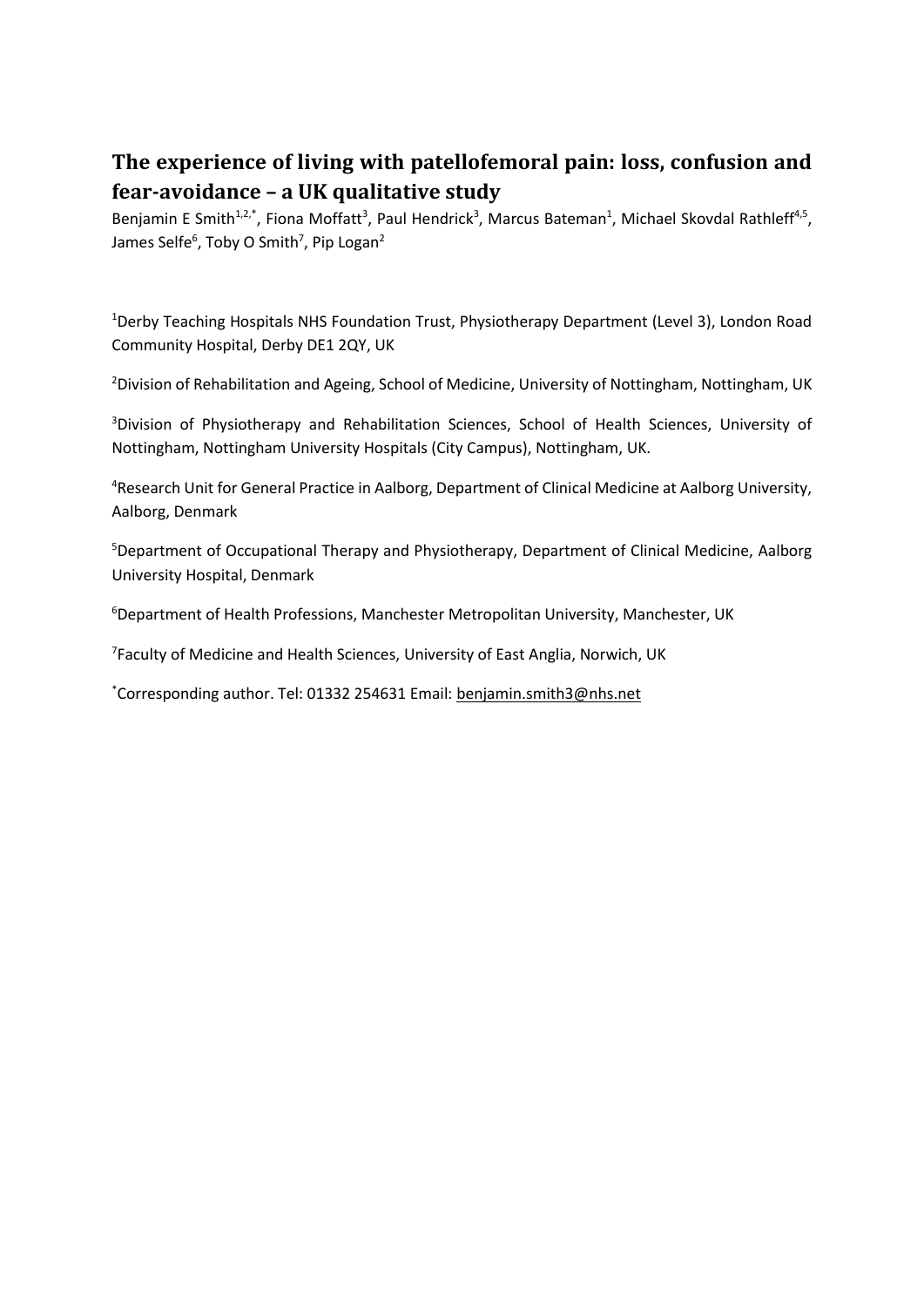# **The experience of living with patellofemoral pain: loss, confusion and fear-avoidance – a UK qualitative study**

Benjamin E Smith<sup>1,2,\*</sup>, Fiona Moffatt<sup>3</sup>, Paul Hendrick<sup>3</sup>, Marcus Bateman<sup>1</sup>, Michael Skovdal Rathleff<sup>4,5</sup>, James Selfe<sup>6</sup>, Toby O Smith<sup>7</sup>, Pip Logan<sup>2</sup>

<sup>1</sup>Derby Teaching Hospitals NHS Foundation Trust, Physiotherapy Department (Level 3), London Road Community Hospital, Derby DE1 2QY, UK

<sup>2</sup>Division of Rehabilitation and Ageing, School of Medicine, University of Nottingham, Nottingham, UK

<sup>3</sup>Division of Physiotherapy and Rehabilitation Sciences, School of Health Sciences, University of Nottingham, Nottingham University Hospitals (City Campus), Nottingham, UK.

<sup>4</sup>Research Unit for General Practice in Aalborg, Department of Clinical Medicine at Aalborg University, Aalborg, Denmark

<sup>5</sup>Department of Occupational Therapy and Physiotherapy, Department of Clinical Medicine, Aalborg University Hospital, Denmark

<sup>6</sup>Department of Health Professions, Manchester Metropolitan University, Manchester, UK

<sup>7</sup> Faculty of Medicine and Health Sciences, University of East Anglia, Norwich, UK

\*Corresponding author. Tel: 01332 254631 Email: [benjamin.smith3@nhs.net](mailto:benjamin.smith3@nhs.net)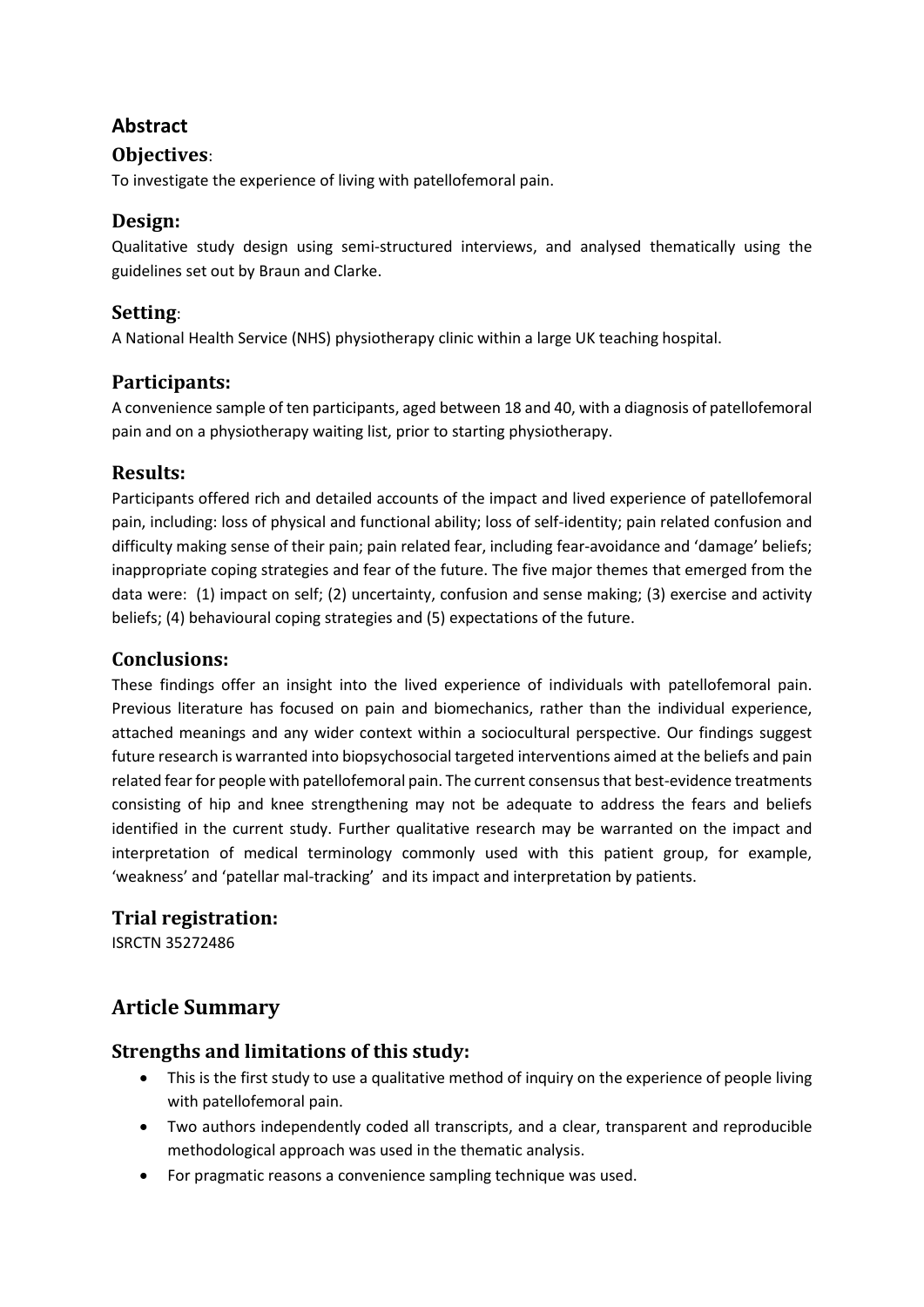# **Abstract**

#### **Objectives**:

To investigate the experience of living with patellofemoral pain.

### **Design:**

Qualitative study design using semi-structured interviews, and analysed thematically using the guidelines set out by Braun and Clarke.

### **Setting**:

A National Health Service (NHS) physiotherapy clinic within a large UK teaching hospital.

### **Participants:**

A convenience sample of ten participants, aged between 18 and 40, with a diagnosis of patellofemoral pain and on a physiotherapy waiting list, prior to starting physiotherapy.

### **Results:**

Participants offered rich and detailed accounts of the impact and lived experience of patellofemoral pain, including: loss of physical and functional ability; loss of self-identity; pain related confusion and difficulty making sense of their pain; pain related fear, including fear-avoidance and 'damage' beliefs; inappropriate coping strategies and fear of the future. The five major themes that emerged from the data were: (1) impact on self; (2) uncertainty, confusion and sense making; (3) exercise and activity beliefs; (4) behavioural coping strategies and (5) expectations of the future.

### **Conclusions:**

These findings offer an insight into the lived experience of individuals with patellofemoral pain. Previous literature has focused on pain and biomechanics, rather than the individual experience, attached meanings and any wider context within a sociocultural perspective. Our findings suggest future research is warranted into biopsychosocial targeted interventions aimed at the beliefs and pain related fear for people with patellofemoral pain. The current consensus that best-evidence treatments consisting of hip and knee strengthening may not be adequate to address the fears and beliefs identified in the current study. Further qualitative research may be warranted on the impact and interpretation of medical terminology commonly used with this patient group, for example, 'weakness' and 'patellar mal-tracking' and its impact and interpretation by patients.

### **Trial registration:**

ISRCTN 35272486

# **Article Summary**

### **Strengths and limitations of this study:**

- This is the first study to use a qualitative method of inquiry on the experience of people living with patellofemoral pain.
- Two authors independently coded all transcripts, and a clear, transparent and reproducible methodological approach was used in the thematic analysis.
- For pragmatic reasons a convenience sampling technique was used.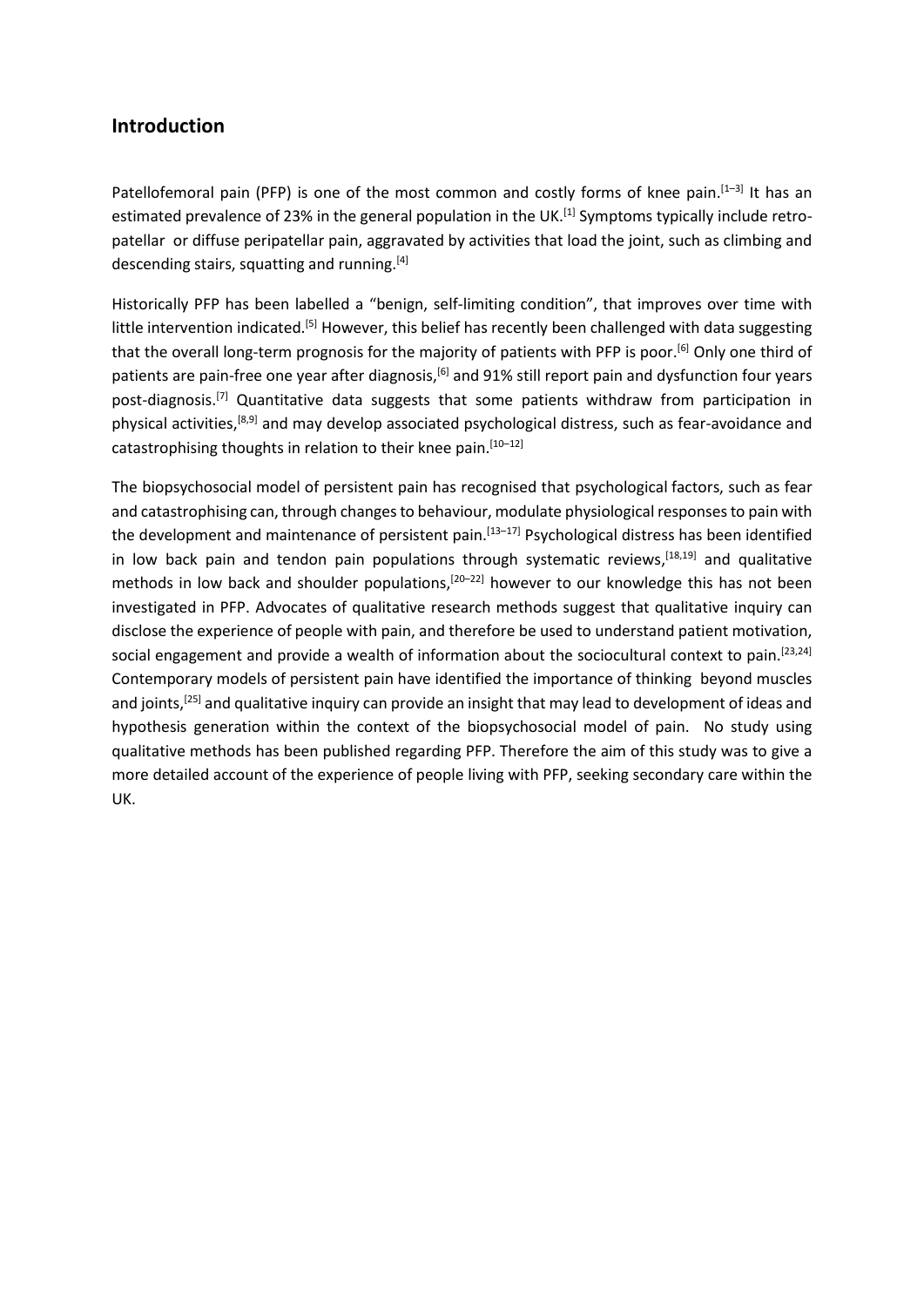#### **Introduction**

Patellofemoral pain (PFP) is one of the most common and costly forms of knee pain.<sup>[1-3]</sup> It has an estimated prevalence of 23% in the general population in the UK.<sup>[1]</sup> Symptoms typically include retropatellar or diffuse peripatellar pain, aggravated by activities that load the joint, such as climbing and descending stairs, squatting and running.<sup>[4]</sup>

Historically PFP has been labelled a "benign, self-limiting condition", that improves over time with little intervention indicated.<sup>[5]</sup> However, this belief has recently been challenged with data suggesting that the overall long-term prognosis for the majority of patients with PFP is poor.<sup>[6]</sup> Only one third of patients are pain-free one year after diagnosis,<sup>[6]</sup> and 91% still report pain and dysfunction four years post-diagnosis.<sup>[7]</sup> Quantitative data suggests that some patients withdraw from participation in physical activities,<sup>[8,9]</sup> and may develop associated psychological distress, such as fear-avoidance and catastrophising thoughts in relation to their knee pain.<sup>[10-12]</sup>

The biopsychosocial model of persistent pain has recognised that psychological factors, such as fear and catastrophising can, through changes to behaviour, modulate physiological responses to pain with the development and maintenance of persistent pain.<sup>[13-17]</sup> Psychological distress has been identified in low back pain and tendon pain populations through systematic reviews, <sup>[18,19]</sup> and qualitative methods in low back and shoulder populations,<sup>[20-22]</sup> however to our knowledge this has not been investigated in PFP. Advocates of qualitative research methods suggest that qualitative inquiry can disclose the experience of people with pain, and therefore be used to understand patient motivation, social engagement and provide a wealth of information about the sociocultural context to pain.<sup>[23,24]</sup> Contemporary models of persistent pain have identified the importance of thinking beyond muscles and joints,<sup>[25]</sup> and qualitative inquiry can provide an insight that may lead to development of ideas and hypothesis generation within the context of the biopsychosocial model of pain. No study using qualitative methods has been published regarding PFP. Therefore the aim of this study was to give a more detailed account of the experience of people living with PFP, seeking secondary care within the UK.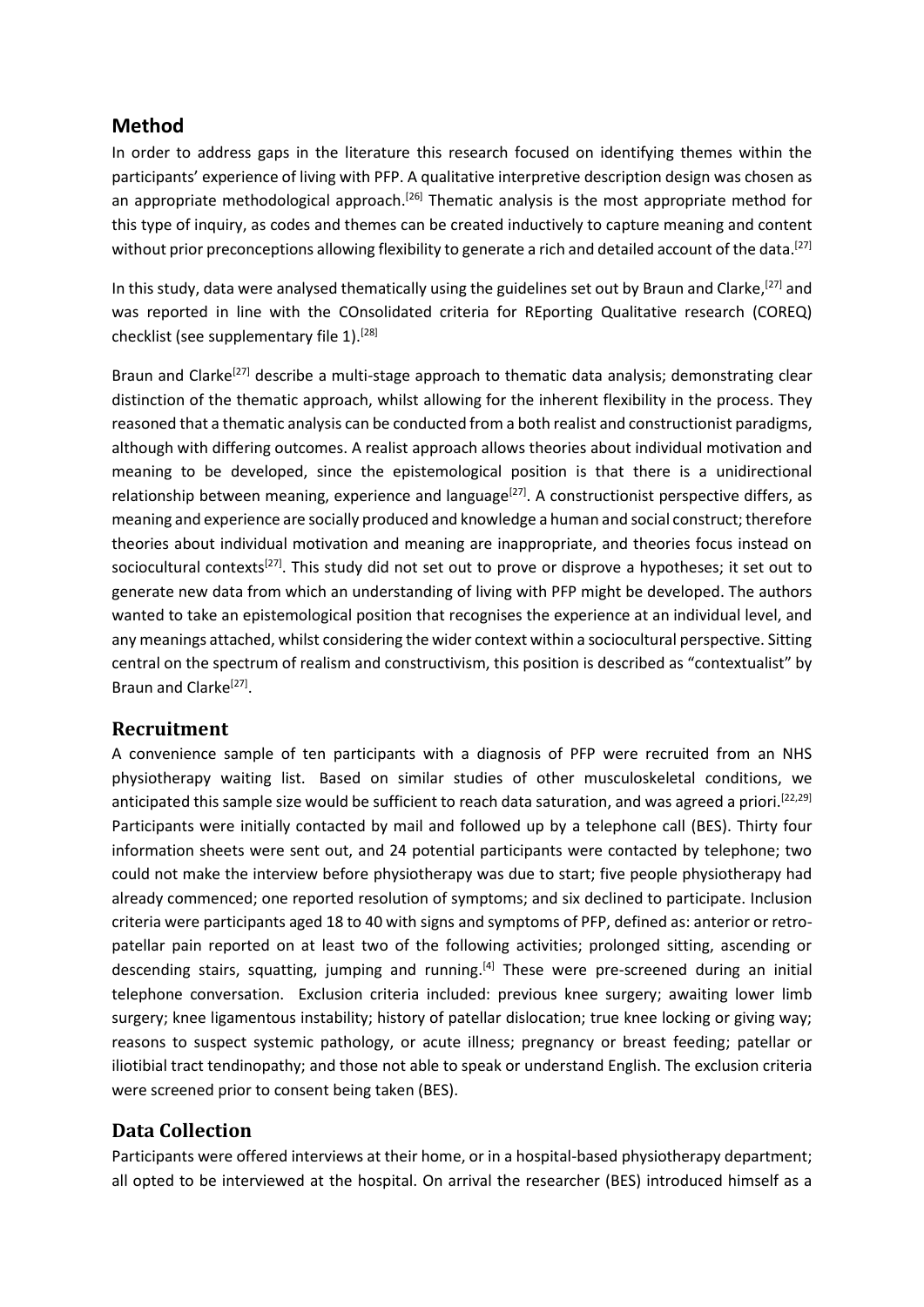#### **Method**

In order to address gaps in the literature this research focused on identifying themes within the participants' experience of living with PFP. A qualitative interpretive description design was chosen as an appropriate methodological approach.<sup>[26]</sup> Thematic analysis is the most appropriate method for this type of inquiry, as codes and themes can be created inductively to capture meaning and content without prior preconceptions allowing flexibility to generate a rich and detailed account of the data.<sup>[27]</sup>

In this study, data were analysed thematically using the guidelines set out by Braun and Clarke,<sup>[27]</sup> and was reported in line with the COnsolidated criteria for REporting Qualitative research (COREQ) checklist (see supplementary file 1).<sup>[28]</sup>

Braun and Clarke<sup>[27]</sup> describe a multi-stage approach to thematic data analysis; demonstrating clear distinction of the thematic approach, whilst allowing for the inherent flexibility in the process. They reasoned that a thematic analysis can be conducted from a both realist and constructionist paradigms, although with differing outcomes. A realist approach allows theories about individual motivation and meaning to be developed, since the epistemological position is that there is a unidirectional relationship between meaning, experience and language<sup>[27]</sup>. A constructionist perspective differs, as meaning and experience are socially produced and knowledge a human and social construct; therefore theories about individual motivation and meaning are inappropriate, and theories focus instead on sociocultural contexts<sup>[27]</sup>. This study did not set out to prove or disprove a hypotheses; it set out to generate new data from which an understanding of living with PFP might be developed. The authors wanted to take an epistemological position that recognises the experience at an individual level, and any meanings attached, whilst considering the wider context within a sociocultural perspective. Sitting central on the spectrum of realism and constructivism, this position is described as "contextualist" by Braun and Clarke<sup>[27]</sup>.

#### **Recruitment**

A convenience sample of ten participants with a diagnosis of PFP were recruited from an NHS physiotherapy waiting list. Based on similar studies of other musculoskeletal conditions, we anticipated this sample size would be sufficient to reach data saturation, and was agreed a priori.<sup>[22,29]</sup> Participants were initially contacted by mail and followed up by a telephone call (BES). Thirty four information sheets were sent out, and 24 potential participants were contacted by telephone; two could not make the interview before physiotherapy was due to start; five people physiotherapy had already commenced; one reported resolution of symptoms; and six declined to participate. Inclusion criteria were participants aged 18 to 40 with signs and symptoms of PFP, defined as: anterior or retropatellar pain reported on at least two of the following activities; prolonged sitting, ascending or descending stairs, squatting, jumping and running.<sup>[4]</sup> These were pre-screened during an initial telephone conversation. Exclusion criteria included: previous knee surgery; awaiting lower limb surgery; knee ligamentous instability; history of patellar dislocation; true knee locking or giving way; reasons to suspect systemic pathology, or acute illness; pregnancy or breast feeding; patellar or iliotibial tract tendinopathy; and those not able to speak or understand English. The exclusion criteria were screened prior to consent being taken (BES).

### **Data Collection**

Participants were offered interviews at their home, or in a hospital-based physiotherapy department; all opted to be interviewed at the hospital. On arrival the researcher (BES) introduced himself as a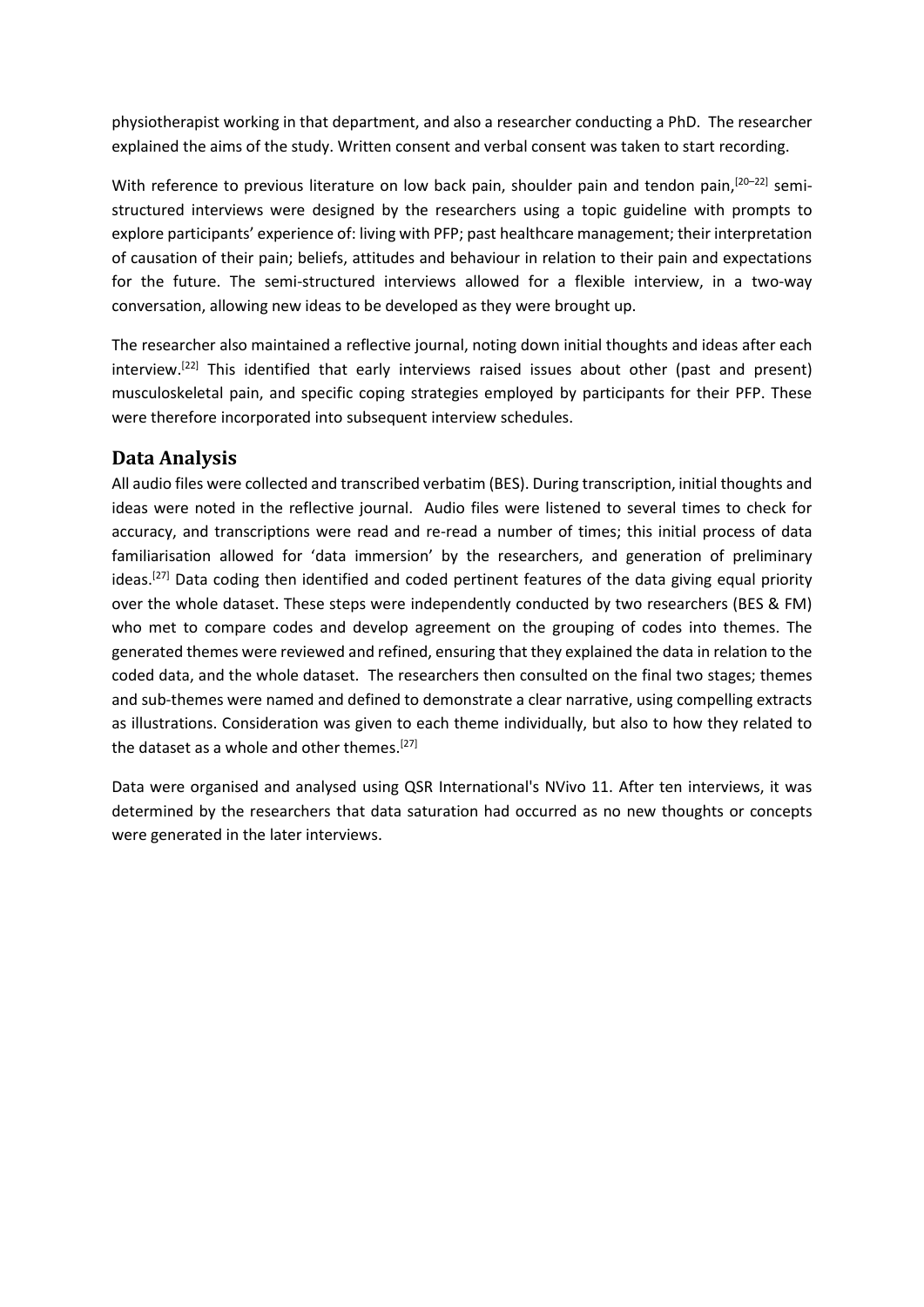physiotherapist working in that department, and also a researcher conducting a PhD. The researcher explained the aims of the study. Written consent and verbal consent was taken to start recording.

With reference to previous literature on low back pain, shoulder pain and tendon pain, <sup>[20-22]</sup> semistructured interviews were designed by the researchers using a topic guideline with prompts to explore participants' experience of: living with PFP; past healthcare management; their interpretation of causation of their pain; beliefs, attitudes and behaviour in relation to their pain and expectations for the future. The semi-structured interviews allowed for a flexible interview, in a two-way conversation, allowing new ideas to be developed as they were brought up.

The researcher also maintained a reflective journal, noting down initial thoughts and ideas after each interview.<sup>[22]</sup> This identified that early interviews raised issues about other (past and present) musculoskeletal pain, and specific coping strategies employed by participants for their PFP. These were therefore incorporated into subsequent interview schedules.

### **Data Analysis**

All audio files were collected and transcribed verbatim (BES). During transcription, initial thoughts and ideas were noted in the reflective journal. Audio files were listened to several times to check for accuracy, and transcriptions were read and re-read a number of times; this initial process of data familiarisation allowed for 'data immersion' by the researchers, and generation of preliminary ideas.<sup>[27]</sup> Data coding then identified and coded pertinent features of the data giving equal priority over the whole dataset. These steps were independently conducted by two researchers (BES & FM) who met to compare codes and develop agreement on the grouping of codes into themes. The generated themes were reviewed and refined, ensuring that they explained the data in relation to the coded data, and the whole dataset. The researchers then consulted on the final two stages; themes and sub-themes were named and defined to demonstrate a clear narrative, using compelling extracts as illustrations. Consideration was given to each theme individually, but also to how they related to the dataset as a whole and other themes.<sup>[27]</sup>

Data were organised and analysed using QSR International's NVivo 11. After ten interviews, it was determined by the researchers that data saturation had occurred as no new thoughts or concepts were generated in the later interviews.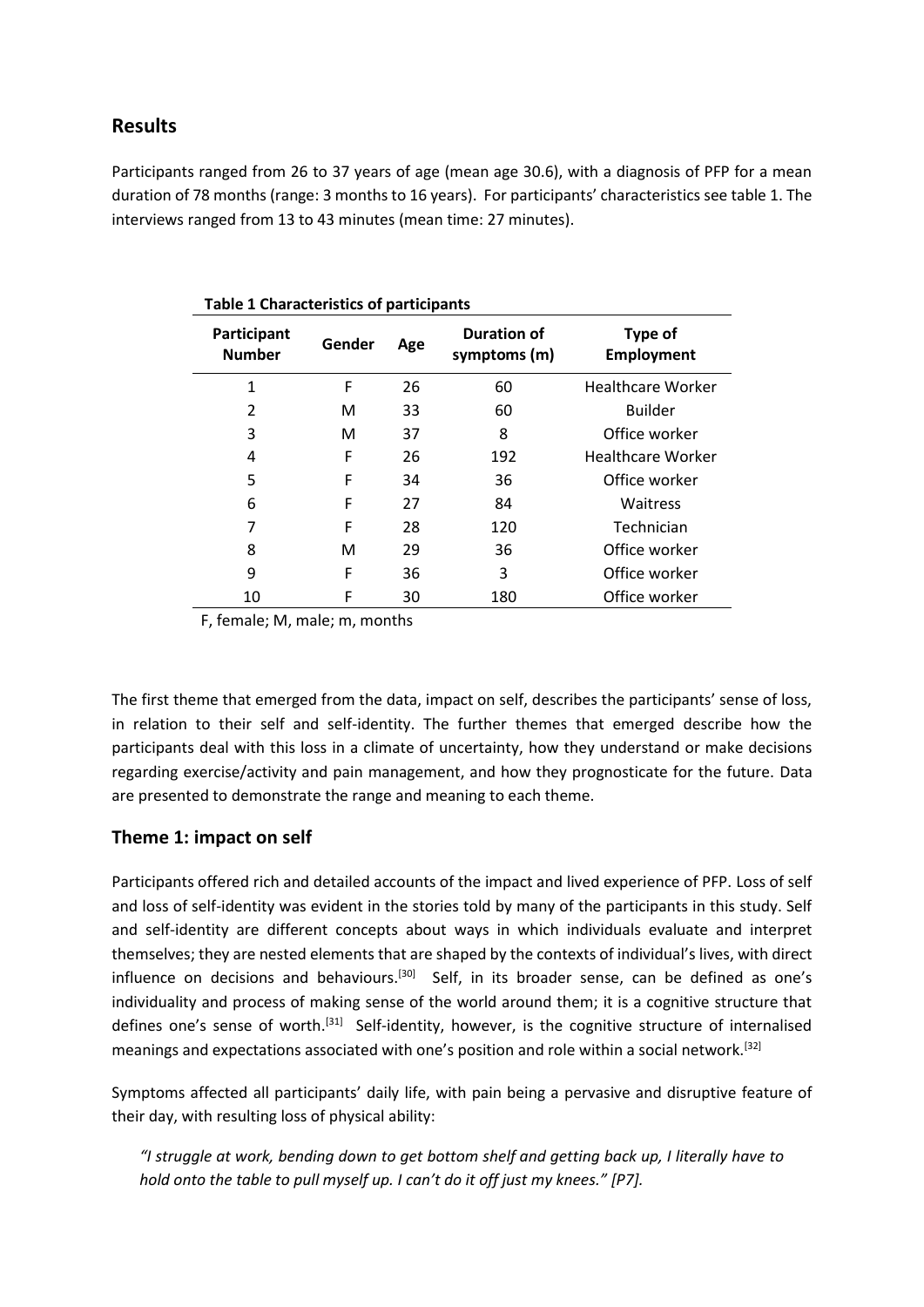#### **Results**

Participants ranged from 26 to 37 years of age (mean age 30.6), with a diagnosis of PFP for a mean duration of 78 months (range: 3 months to 16 years). For participants' characteristics see table 1. The interviews ranged from 13 to 43 minutes (mean time: 27 minutes).

| <b>Table 1 Characteristics of participants</b> |        |     |                                    |                              |  |
|------------------------------------------------|--------|-----|------------------------------------|------------------------------|--|
| Participant<br><b>Number</b>                   | Gender | Age | <b>Duration of</b><br>symptoms (m) | Type of<br><b>Employment</b> |  |
| $\mathbf{1}$                                   | F      | 26  | 60                                 | <b>Healthcare Worker</b>     |  |
| 2                                              | м      | 33  | 60                                 | <b>Builder</b>               |  |
| 3                                              | М      | 37  | 8                                  | Office worker                |  |
| 4                                              | F      | 26  | 192                                | <b>Healthcare Worker</b>     |  |
| 5                                              | F      | 34  | 36                                 | Office worker                |  |
| 6                                              | F      | 27  | 84                                 | Waitress                     |  |
| 7                                              | F      | 28  | 120                                | Technician                   |  |
| 8                                              | м      | 29  | 36                                 | Office worker                |  |
| 9                                              | F      | 36  | 3                                  | Office worker                |  |
| 10                                             | F      | 30  | 180                                | Office worker                |  |

F, female; M, male; m, months

The first theme that emerged from the data, impact on self, describes the participants' sense of loss, in relation to their self and self-identity. The further themes that emerged describe how the participants deal with this loss in a climate of uncertainty, how they understand or make decisions regarding exercise/activity and pain management, and how they prognosticate for the future. Data are presented to demonstrate the range and meaning to each theme.

#### **Theme 1: impact on self**

Participants offered rich and detailed accounts of the impact and lived experience of PFP. Loss of self and loss of self-identity was evident in the stories told by many of the participants in this study. Self and self-identity are different concepts about ways in which individuals evaluate and interpret themselves; they are nested elements that are shaped by the contexts of individual's lives, with direct influence on decisions and behaviours.<sup>[30]</sup> Self, in its broader sense, can be defined as one's individuality and process of making sense of the world around them; it is a cognitive structure that defines one's sense of worth.<sup>[31]</sup> Self-identity, however, is the cognitive structure of internalised meanings and expectations associated with one's position and role within a social network.<sup>[32]</sup>

Symptoms affected all participants' daily life, with pain being a pervasive and disruptive feature of their day, with resulting loss of physical ability:

*"I struggle at work, bending down to get bottom shelf and getting back up, I literally have to hold onto the table to pull myself up. I can't do it off just my knees." [P7].*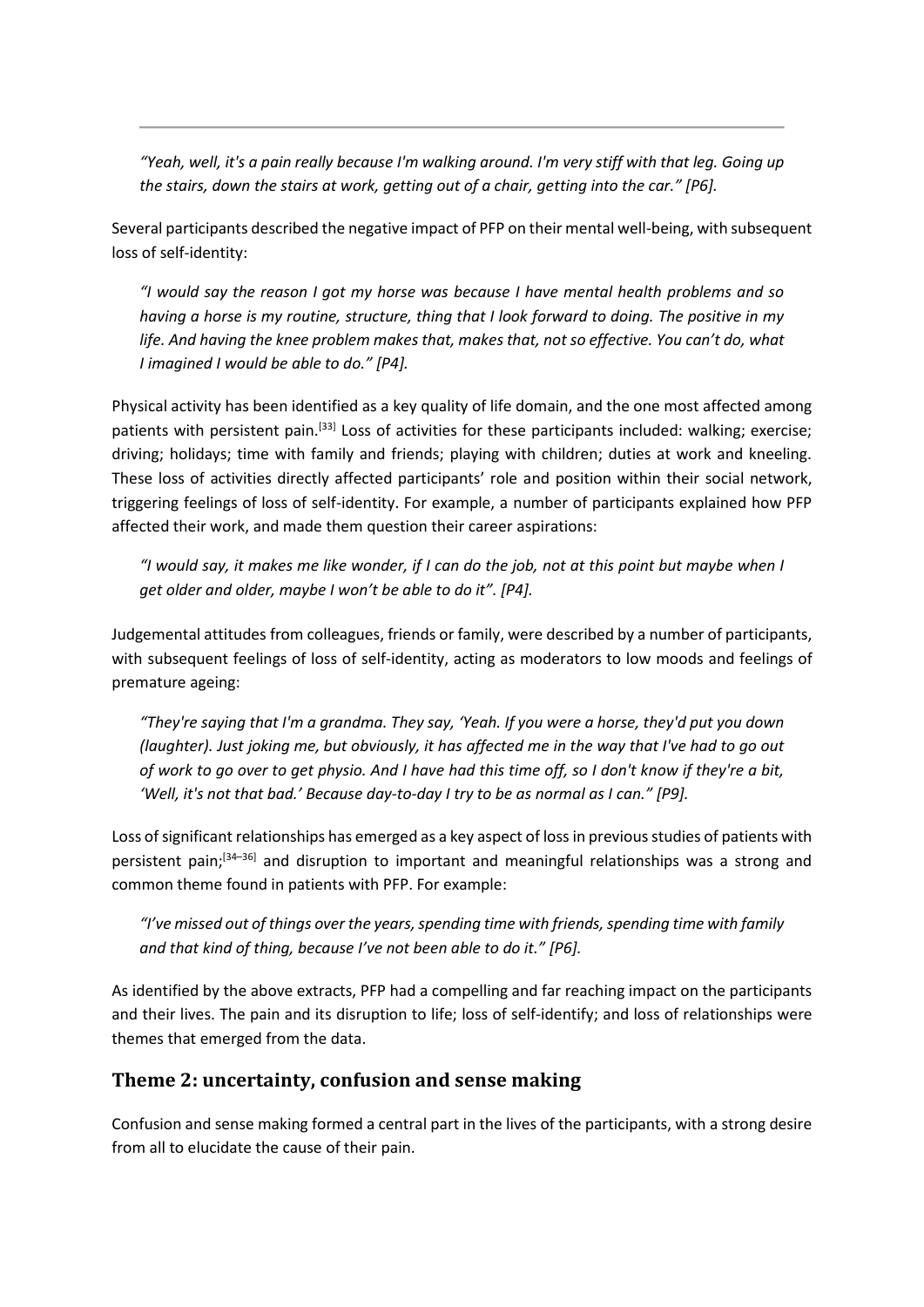*"Yeah, well, it's a pain really because I'm walking around. I'm very stiff with that leg. Going up the stairs, down the stairs at work, getting out of a chair, getting into the car." [P6].*

Several participants described the negative impact of PFP on their mental well-being, with subsequent loss of self-identity:

*"I would say the reason I got my horse was because I have mental health problems and so having a horse is my routine, structure, thing that I look forward to doing. The positive in my*  life. And having the knee problem makes that, makes that, not so effective. You can't do, what *I imagined I would be able to do." [P4].*

Physical activity has been identified as a key quality of life domain, and the one most affected among patients with persistent pain.<sup>[33]</sup> Loss of activities for these participants included: walking; exercise; driving; holidays; time with family and friends; playing with children; duties at work and kneeling. These loss of activities directly affected participants' role and position within their social network, triggering feelings of loss of self-identity. For example, a number of participants explained how PFP affected their work, and made them question their career aspirations:

*"I would say, it makes me like wonder, if I can do the job, not at this point but maybe when I get older and older, maybe I won't be able to do it". [P4].*

Judgemental attitudes from colleagues, friends or family, were described by a number of participants, with subsequent feelings of loss of self-identity, acting as moderators to low moods and feelings of premature ageing:

*"They're saying that I'm a grandma. They say, 'Yeah. If you were a horse, they'd put you down (laughter). Just joking me, but obviously, it has affected me in the way that I've had to go out of work to go over to get physio. And I have had this time off, so I don't know if they're a bit, 'Well, it's not that bad.' Because day-to-day I try to be as normal as I can." [P9].*

Loss of significant relationships has emerged as a key aspect of loss in previous studies of patients with persistent pain; [34–36] and disruption to important and meaningful relationships was a strong and common theme found in patients with PFP. For example:

*"I've missed out of things over the years, spending time with friends, spending time with family and that kind of thing, because I've not been able to do it." [P6].* 

As identified by the above extracts, PFP had a compelling and far reaching impact on the participants and their lives. The pain and its disruption to life; loss of self-identify; and loss of relationships were themes that emerged from the data.

### **Theme 2: uncertainty, confusion and sense making**

Confusion and sense making formed a central part in the lives of the participants, with a strong desire from all to elucidate the cause of their pain.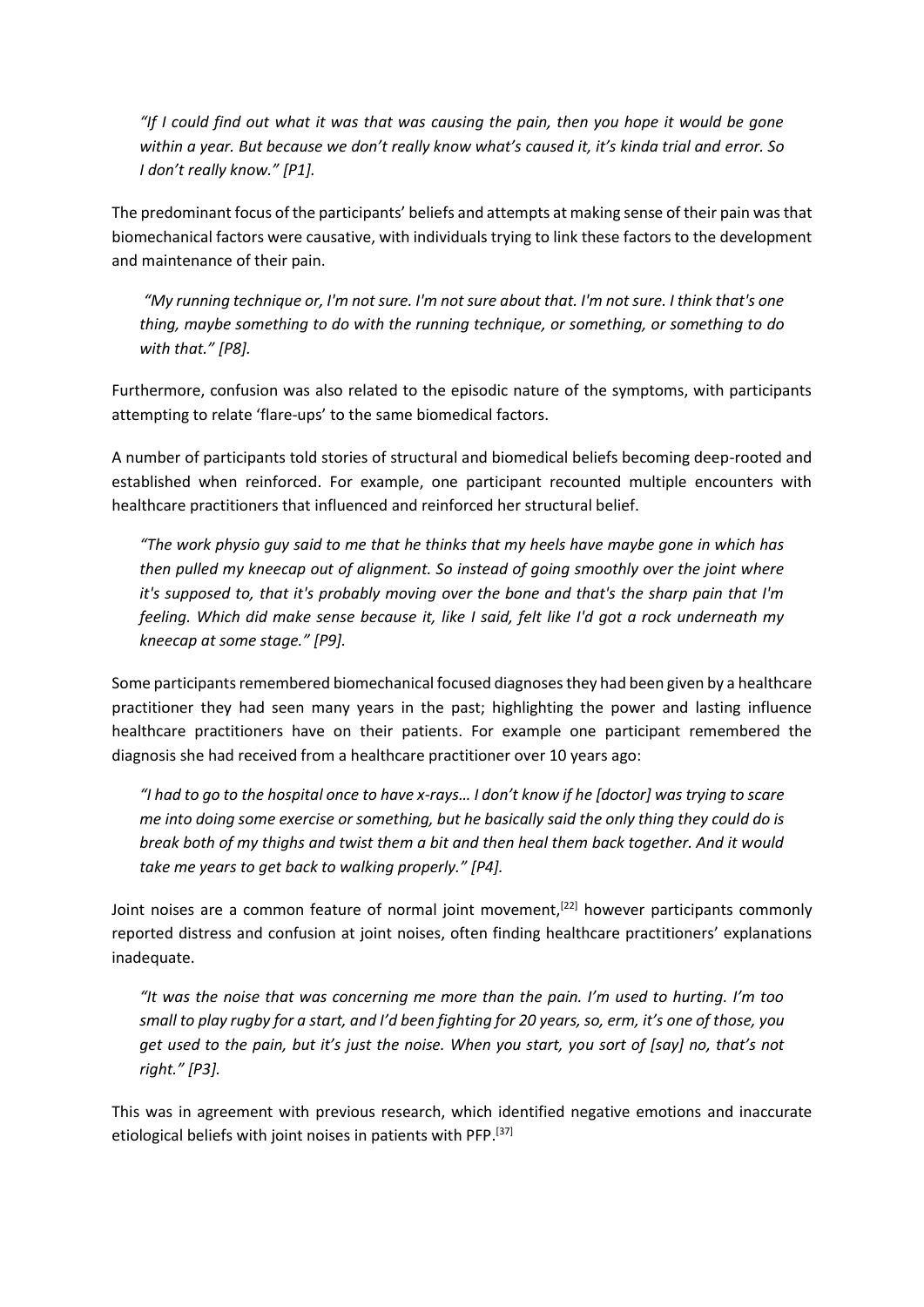*"If I could find out what it was that was causing the pain, then you hope it would be gone within a year. But because we don't really know what's caused it, it's kinda trial and error. So I don't really know." [P1].* 

The predominant focus of the participants' beliefs and attempts at making sense of their pain was that biomechanical factors were causative, with individuals trying to link these factors to the development and maintenance of their pain.

*"My running technique or, I'm not sure. I'm not sure about that. I'm not sure. I think that's one thing, maybe something to do with the running technique, or something, or something to do with that." [P8].*

Furthermore, confusion was also related to the episodic nature of the symptoms, with participants attempting to relate 'flare-ups' to the same biomedical factors.

A number of participants told stories of structural and biomedical beliefs becoming deep-rooted and established when reinforced. For example, one participant recounted multiple encounters with healthcare practitioners that influenced and reinforced her structural belief.

*"The work physio guy said to me that he thinks that my heels have maybe gone in which has then pulled my kneecap out of alignment. So instead of going smoothly over the joint where it's supposed to, that it's probably moving over the bone and that's the sharp pain that I'm feeling. Which did make sense because it, like I said, felt like I'd got a rock underneath my kneecap at some stage." [P9].*

Some participants remembered biomechanical focused diagnoses they had been given by a healthcare practitioner they had seen many years in the past; highlighting the power and lasting influence healthcare practitioners have on their patients. For example one participant remembered the diagnosis she had received from a healthcare practitioner over 10 years ago:

*"I had to go to the hospital once to have x-rays… I don't know if he [doctor] was trying to scare me into doing some exercise or something, but he basically said the only thing they could do is break both of my thighs and twist them a bit and then heal them back together. And it would take me years to get back to walking properly." [P4].*

Joint noises are a common feature of normal joint movement,<sup>[22]</sup> however participants commonly reported distress and confusion at joint noises, often finding healthcare practitioners' explanations inadequate.

*"It was the noise that was concerning me more than the pain. I'm used to hurting. I'm too small to play rugby for a start, and I'd been fighting for 20 years, so, erm, it's one of those, you get used to the pain, but it's just the noise. When you start, you sort of [say] no, that's not right." [P3].* 

This was in agreement with previous research, which identified negative emotions and inaccurate etiological beliefs with joint noises in patients with PFP.<sup>[37]</sup>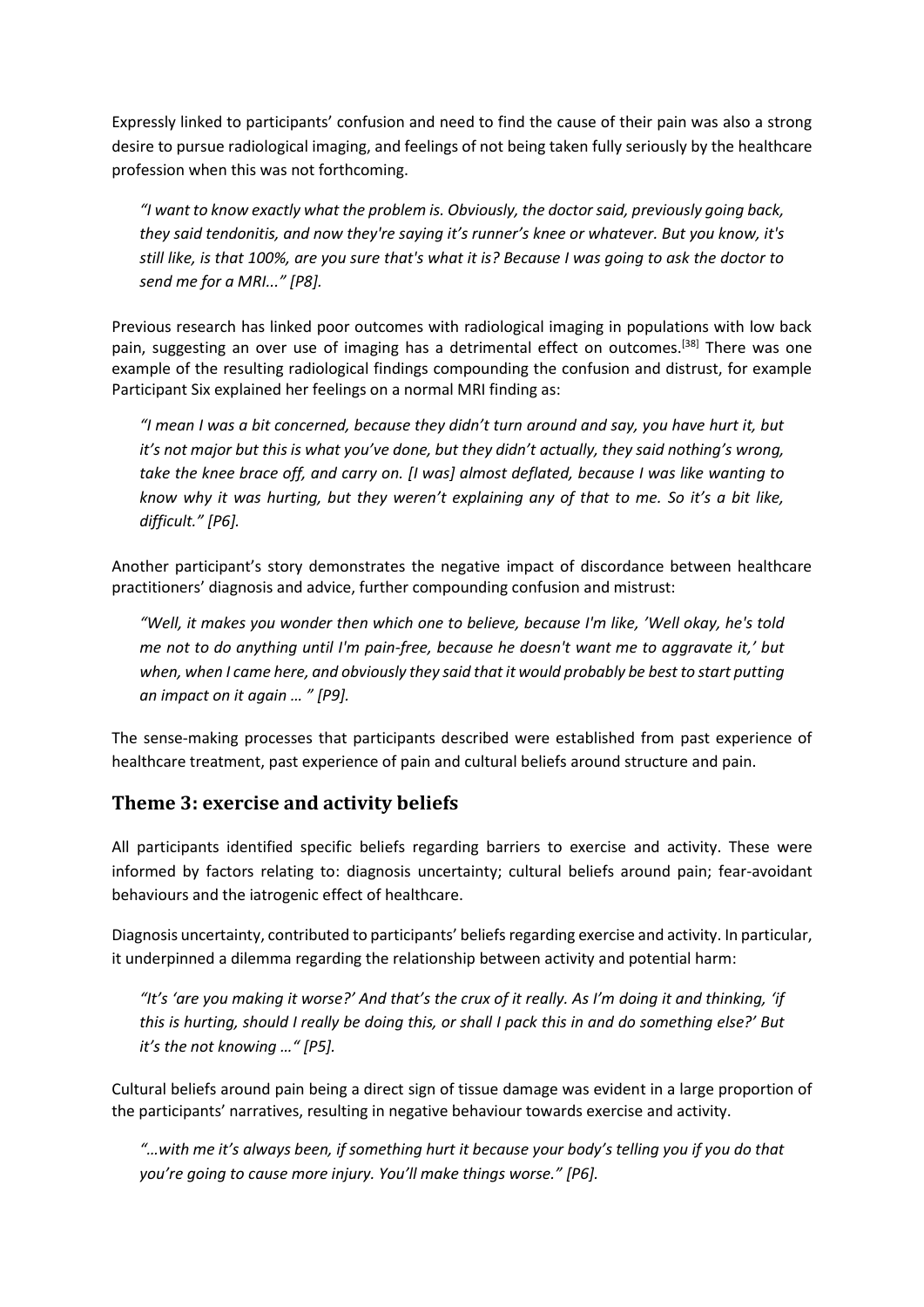Expressly linked to participants' confusion and need to find the cause of their pain was also a strong desire to pursue radiological imaging, and feelings of not being taken fully seriously by the healthcare profession when this was not forthcoming.

*"I want to know exactly what the problem is. Obviously, the doctor said, previously going back, they said tendonitis, and now they're saying it's runner's knee or whatever. But you know, it's still like, is that 100%, are you sure that's what it is? Because I was going to ask the doctor to send me for a MRI..." [P8].*

Previous research has linked poor outcomes with radiological imaging in populations with low back pain, suggesting an over use of imaging has a detrimental effect on outcomes.<sup>[38]</sup> There was one example of the resulting radiological findings compounding the confusion and distrust, for example Participant Six explained her feelings on a normal MRI finding as:

*"I mean I was a bit concerned, because they didn't turn around and say, you have hurt it, but it's not major but this is what you've done, but they didn't actually, they said nothing's wrong, take the knee brace off, and carry on. [I was] almost deflated, because I was like wanting to know why it was hurting, but they weren't explaining any of that to me. So it's a bit like, difficult." [P6].* 

Another participant's story demonstrates the negative impact of discordance between healthcare practitioners' diagnosis and advice, further compounding confusion and mistrust:

*"Well, it makes you wonder then which one to believe, because I'm like, 'Well okay, he's told me not to do anything until I'm pain-free, because he doesn't want me to aggravate it,' but when, when I came here, and obviously they said that it would probably be best to start putting an impact on it again … " [P9].*

The sense-making processes that participants described were established from past experience of healthcare treatment, past experience of pain and cultural beliefs around structure and pain.

### **Theme 3: exercise and activity beliefs**

All participants identified specific beliefs regarding barriers to exercise and activity. These were informed by factors relating to: diagnosis uncertainty; cultural beliefs around pain; fear-avoidant behaviours and the iatrogenic effect of healthcare.

Diagnosis uncertainty, contributed to participants' beliefs regarding exercise and activity. In particular, it underpinned a dilemma regarding the relationship between activity and potential harm:

*"It's 'are you making it worse?' And that's the crux of it really. As I'm doing it and thinking, 'if this is hurting, should I really be doing this, or shall I pack this in and do something else?' But it's the not knowing …" [P5].* 

Cultural beliefs around pain being a direct sign of tissue damage was evident in a large proportion of the participants' narratives, resulting in negative behaviour towards exercise and activity.

*"…with me it's always been, if something hurt it because your body's telling you if you do that you're going to cause more injury. You'll make things worse." [P6].*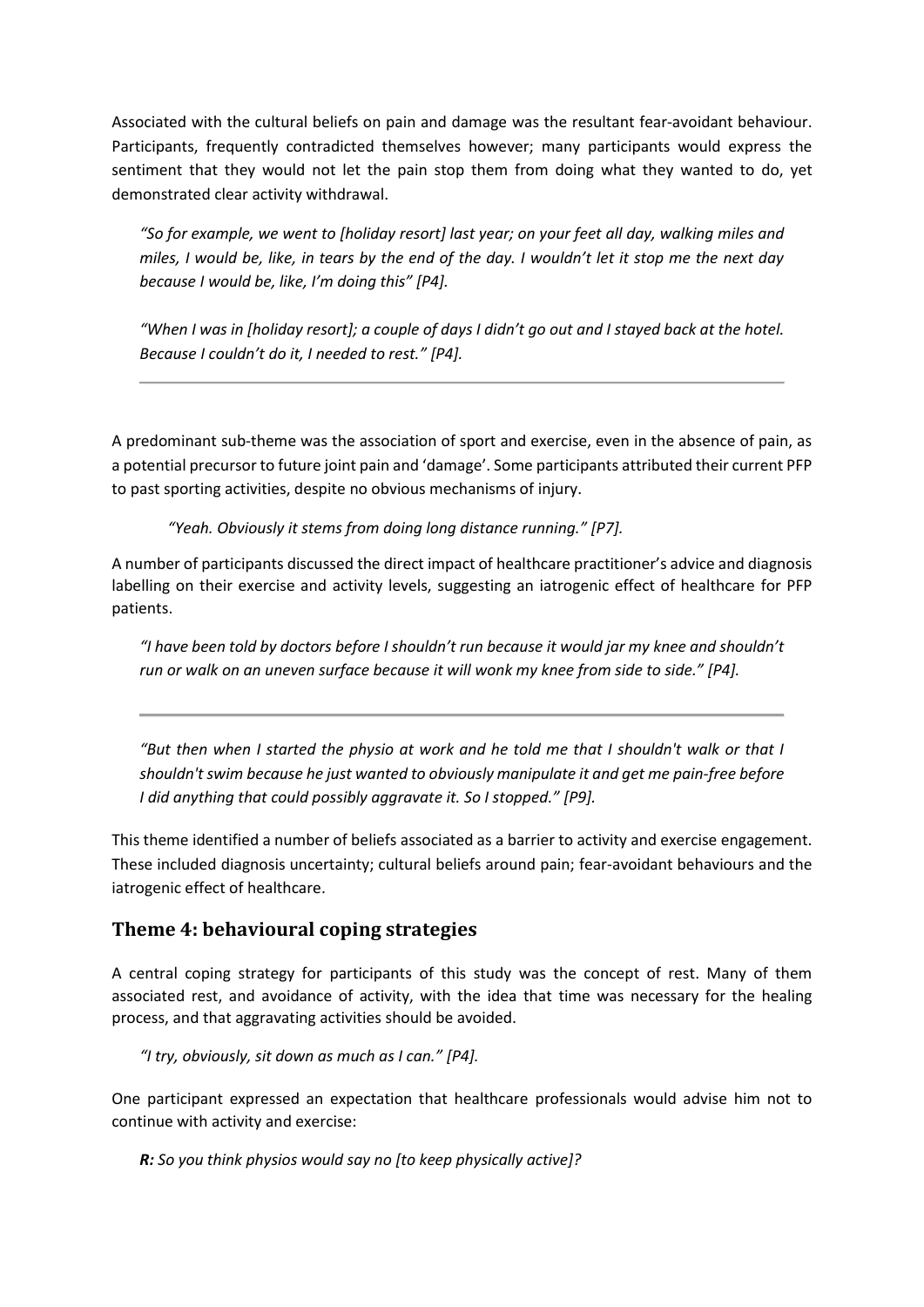Associated with the cultural beliefs on pain and damage was the resultant fear-avoidant behaviour. Participants, frequently contradicted themselves however; many participants would express the sentiment that they would not let the pain stop them from doing what they wanted to do, yet demonstrated clear activity withdrawal.

*"So for example, we went to [holiday resort] last year; on your feet all day, walking miles and miles, I would be, like, in tears by the end of the day. I wouldn't let it stop me the next day because I would be, like, I'm doing this" [P4].*

*"When I was in [holiday resort]; a couple of days I didn't go out and I stayed back at the hotel. Because I couldn't do it, I needed to rest." [P4].*

A predominant sub-theme was the association of sport and exercise, even in the absence of pain, as a potential precursor to future joint pain and 'damage'. Some participants attributed their current PFP to past sporting activities, despite no obvious mechanisms of injury.

*"Yeah. Obviously it stems from doing long distance running." [P7].*

A number of participants discussed the direct impact of healthcare practitioner's advice and diagnosis labelling on their exercise and activity levels, suggesting an iatrogenic effect of healthcare for PFP patients.

*"I have been told by doctors before I shouldn't run because it would jar my knee and shouldn't run or walk on an uneven surface because it will wonk my knee from side to side."* [P4].

*"But then when I started the physio at work and he told me that I shouldn't walk or that I shouldn't swim because he just wanted to obviously manipulate it and get me pain-free before I did anything that could possibly aggravate it. So I stopped." [P9].*

This theme identified a number of beliefs associated as a barrier to activity and exercise engagement. These included diagnosis uncertainty; cultural beliefs around pain; fear-avoidant behaviours and the iatrogenic effect of healthcare.

### **Theme 4: behavioural coping strategies**

A central coping strategy for participants of this study was the concept of rest. Many of them associated rest, and avoidance of activity, with the idea that time was necessary for the healing process, and that aggravating activities should be avoided.

*"I try, obviously, sit down as much as I can." [P4].* 

One participant expressed an expectation that healthcare professionals would advise him not to continue with activity and exercise:

*R: So you think physios would say no [to keep physically active]?*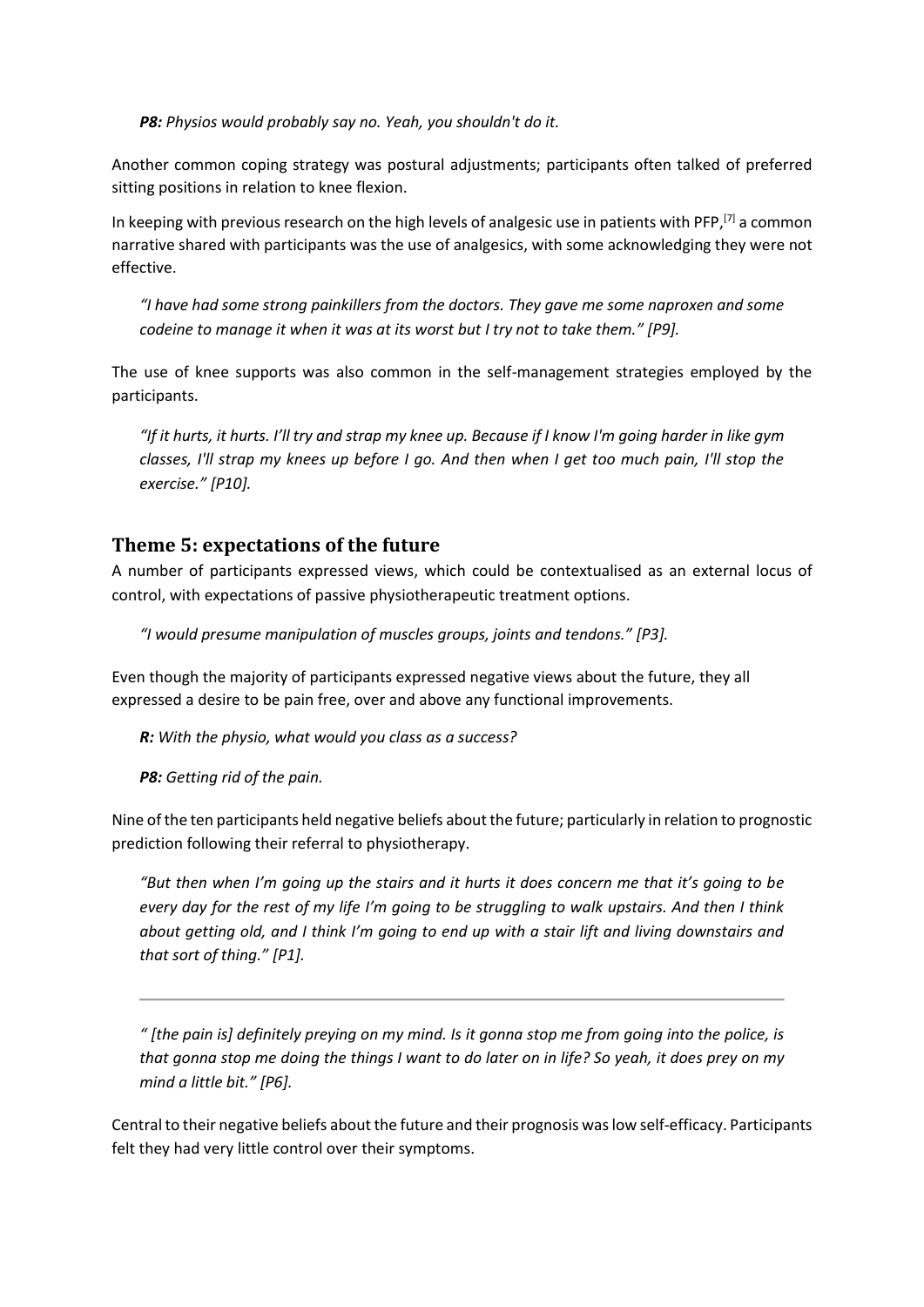*P8: Physios would probably say no. Yeah, you shouldn't do it.*

Another common coping strategy was postural adjustments; participants often talked of preferred sitting positions in relation to knee flexion.

In keeping with previous research on the high levels of analgesic use in patients with PFP,<sup>[7]</sup> a common narrative shared with participants was the use of analgesics, with some acknowledging they were not effective.

*"I have had some strong painkillers from the doctors. They gave me some naproxen and some codeine to manage it when it was at its worst but I try not to take them." [P9].*

The use of knee supports was also common in the self-management strategies employed by the participants.

*"If it hurts, it hurts. I'll try and strap my knee up. Because if I know I'm going harder in like gym classes, I'll strap my knees up before I go. And then when I get too much pain, I'll stop the exercise." [P10].*

#### **Theme 5: expectations of the future**

A number of participants expressed views, which could be contextualised as an external locus of control, with expectations of passive physiotherapeutic treatment options.

*"I would presume manipulation of muscles groups, joints and tendons." [P3].* 

Even though the majority of participants expressed negative views about the future, they all expressed a desire to be pain free, over and above any functional improvements.

*R: With the physio, what would you class as a success?*

*P8: Getting rid of the pain.*

Nine of the ten participants held negative beliefs about the future; particularly in relation to prognostic prediction following their referral to physiotherapy.

*"But then when I'm going up the stairs and it hurts it does concern me that it's going to be every day for the rest of my life I'm going to be struggling to walk upstairs. And then I think about getting old, and I think I'm going to end up with a stair lift and living downstairs and that sort of thing." [P1].*

*" [the pain is] definitely preying on my mind. Is it gonna stop me from going into the police, is that gonna stop me doing the things I want to do later on in life? So yeah, it does prey on my mind a little bit." [P6].* 

Central to their negative beliefs about the future and their prognosis was low self-efficacy. Participants felt they had very little control over their symptoms.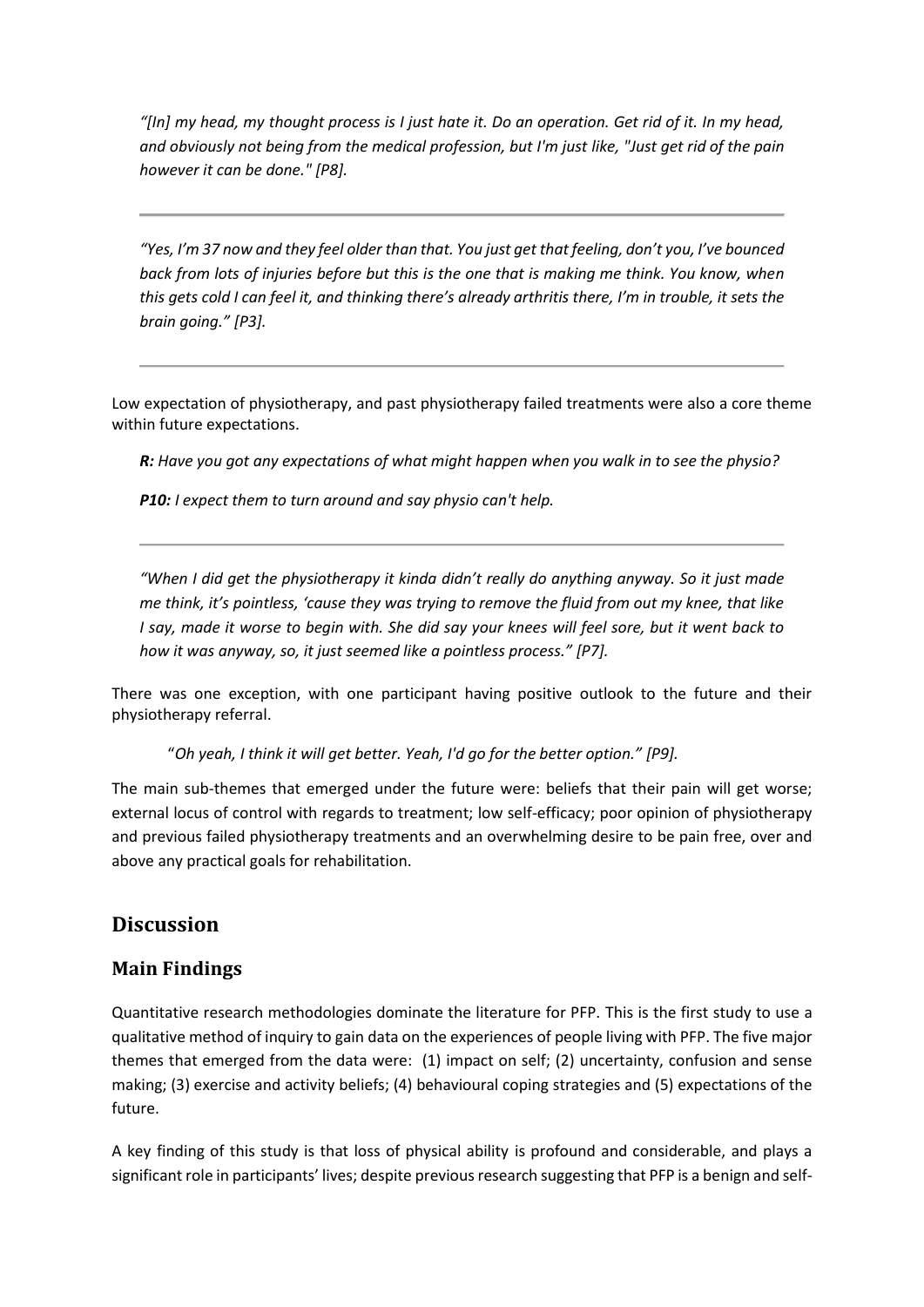*"[In] my head, my thought process is I just hate it. Do an operation. Get rid of it. In my head, and obviously not being from the medical profession, but I'm just like, "Just get rid of the pain however it can be done." [P8].*

*"Yes, I'm 37 now and they feel older than that. You just get that feeling, don't you, I've bounced back from lots of injuries before but this is the one that is making me think. You know, when this gets cold I can feel it, and thinking there's already arthritis there, I'm in trouble, it sets the brain going." [P3].* 

Low expectation of physiotherapy, and past physiotherapy failed treatments were also a core theme within future expectations.

*R: Have you got any expectations of what might happen when you walk in to see the physio?*

*P10: I expect them to turn around and say physio can't help.*

*"When I did get the physiotherapy it kinda didn't really do anything anyway. So it just made me think, it's pointless, 'cause they was trying to remove the fluid from out my knee, that like I say, made it worse to begin with. She did say your knees will feel sore, but it went back to how it was anyway, so, it just seemed like a pointless process." [P7].*

There was one exception, with one participant having positive outlook to the future and their physiotherapy referral.

"*Oh yeah, I think it will get better. Yeah, I'd go for the better option." [P9].*

The main sub-themes that emerged under the future were: beliefs that their pain will get worse; external locus of control with regards to treatment; low self-efficacy; poor opinion of physiotherapy and previous failed physiotherapy treatments and an overwhelming desire to be pain free, over and above any practical goals for rehabilitation.

### **Discussion**

### **Main Findings**

Quantitative research methodologies dominate the literature for PFP. This is the first study to use a qualitative method of inquiry to gain data on the experiences of people living with PFP. The five major themes that emerged from the data were: (1) impact on self; (2) uncertainty, confusion and sense making; (3) exercise and activity beliefs; (4) behavioural coping strategies and (5) expectations of the future.

A key finding of this study is that loss of physical ability is profound and considerable, and plays a significant role in participants' lives; despite previous research suggesting that PFP is a benign and self-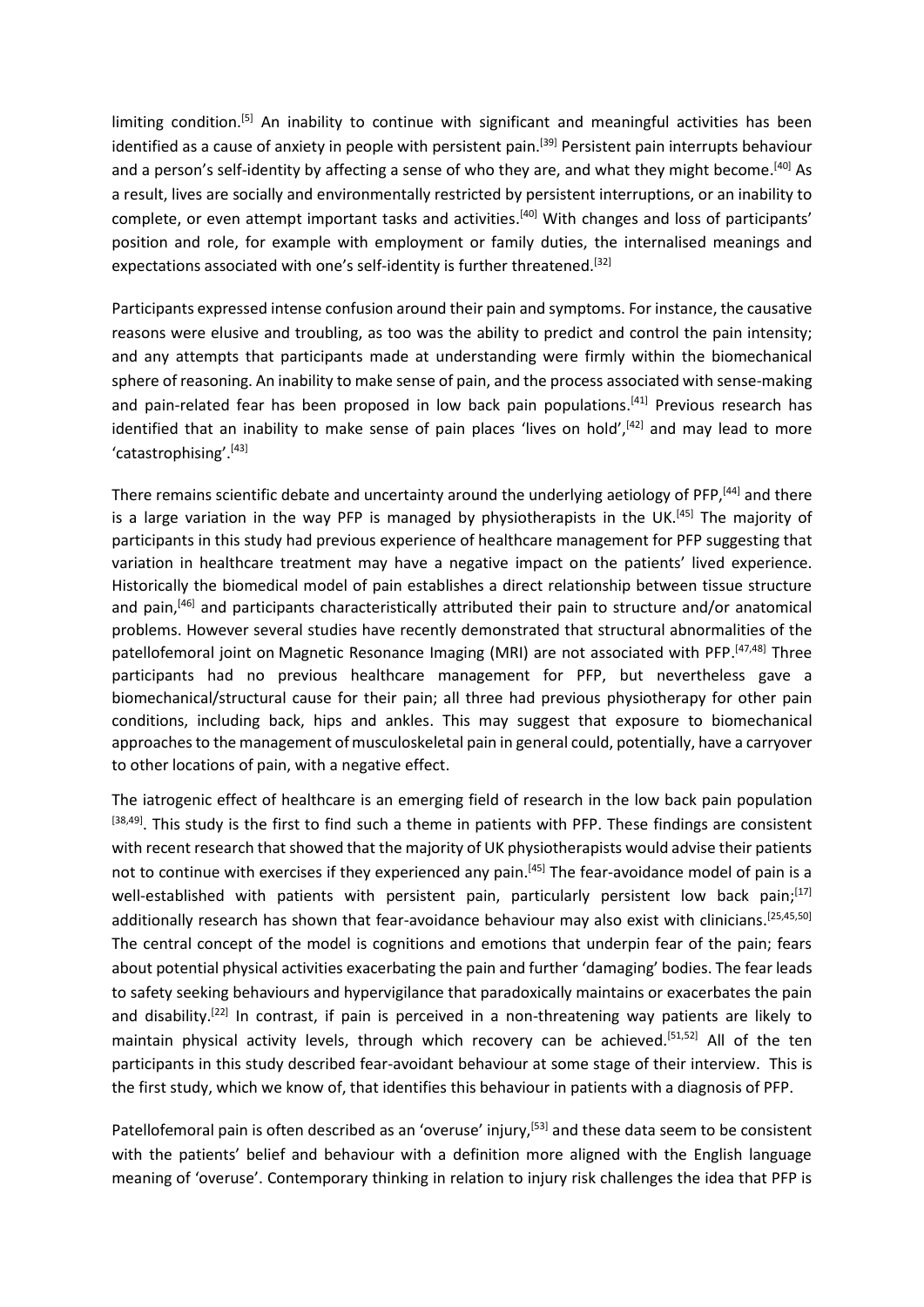limiting condition.<sup>[5]</sup> An inability to continue with significant and meaningful activities has been identified as a cause of anxiety in people with persistent pain.<sup>[39]</sup> Persistent pain interrupts behaviour and a person's self-identity by affecting a sense of who they are, and what they might become.<sup>[40]</sup> As a result, lives are socially and environmentally restricted by persistent interruptions, or an inability to complete, or even attempt important tasks and activities.<sup>[40]</sup> With changes and loss of participants' position and role, for example with employment or family duties, the internalised meanings and expectations associated with one's self-identity is further threatened.<sup>[32]</sup>

Participants expressed intense confusion around their pain and symptoms. For instance, the causative reasons were elusive and troubling, as too was the ability to predict and control the pain intensity; and any attempts that participants made at understanding were firmly within the biomechanical sphere of reasoning. An inability to make sense of pain, and the process associated with sense-making and pain-related fear has been proposed in low back pain populations.<sup>[41]</sup> Previous research has identified that an inability to make sense of pain places 'lives on hold', [42] and may lead to more 'catastrophising'. [43]

There remains scientific debate and uncertainty around the underlying aetiology of PFP,<sup>[44]</sup> and there is a large variation in the way PFP is managed by physiotherapists in the UK.<sup>[45]</sup> The majority of participants in this study had previous experience of healthcare management for PFP suggesting that variation in healthcare treatment may have a negative impact on the patients' lived experience. Historically the biomedical model of pain establishes a direct relationship between tissue structure and pain, [46] and participants characteristically attributed their pain to structure and/or anatomical problems. However several studies have recently demonstrated that structural abnormalities of the patellofemoral joint on Magnetic Resonance Imaging (MRI) are not associated with PFP.<sup>[47,48]</sup> Three participants had no previous healthcare management for PFP, but nevertheless gave a biomechanical/structural cause for their pain; all three had previous physiotherapy for other pain conditions, including back, hips and ankles. This may suggest that exposure to biomechanical approaches to the management of musculoskeletal pain in general could, potentially, have a carryover to other locations of pain, with a negative effect.

The iatrogenic effect of healthcare is an emerging field of research in the low back pain population  $[38,49]$ . This study is the first to find such a theme in patients with PFP. These findings are consistent with recent research that showed that the majority of UK physiotherapists would advise their patients not to continue with exercises if they experienced any pain.<sup>[45]</sup> The fear-avoidance model of pain is a well-established with patients with persistent pain, particularly persistent low back pain;<sup>[17]</sup> additionally research has shown that fear-avoidance behaviour may also exist with clinicians.<sup>[25,45,50]</sup> The central concept of the model is cognitions and emotions that underpin fear of the pain; fears about potential physical activities exacerbating the pain and further 'damaging' bodies. The fear leads to safety seeking behaviours and hypervigilance that paradoxically maintains or exacerbates the pain and disability.<sup>[22]</sup> In contrast, if pain is perceived in a non-threatening way patients are likely to maintain physical activity levels, through which recovery can be achieved.<sup>[51,52]</sup> All of the ten participants in this study described fear-avoidant behaviour at some stage of their interview. This is the first study, which we know of, that identifies this behaviour in patients with a diagnosis of PFP.

Patellofemoral pain is often described as an 'overuse' injury,<sup>[53]</sup> and these data seem to be consistent with the patients' belief and behaviour with a definition more aligned with the English language meaning of 'overuse'. Contemporary thinking in relation to injury risk challenges the idea that PFP is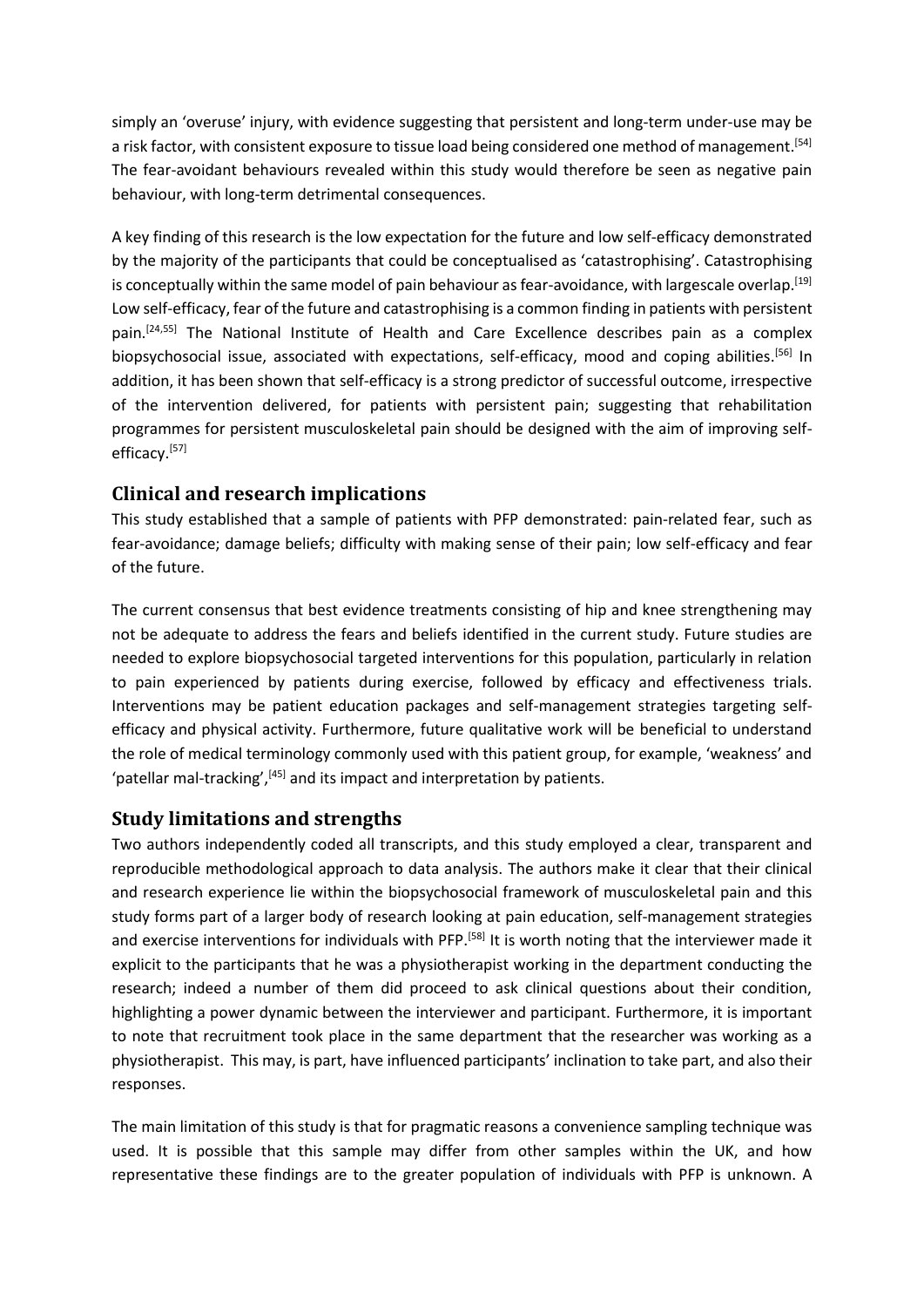simply an 'overuse' injury, with evidence suggesting that persistent and long-term under-use may be a risk factor, with consistent exposure to tissue load being considered one method of management. [54] The fear-avoidant behaviours revealed within this study would therefore be seen as negative pain behaviour, with long-term detrimental consequences.

A key finding of this research is the low expectation for the future and low self-efficacy demonstrated by the majority of the participants that could be conceptualised as 'catastrophising'. Catastrophising is conceptually within the same model of pain behaviour as fear-avoidance, with largescale overlap.<sup>[19]</sup> Low self-efficacy, fear of the future and catastrophising is a common finding in patients with persistent pain.<sup>[24,55]</sup> The National Institute of Health and Care Excellence describes pain as a complex biopsychosocial issue, associated with expectations, self-efficacy, mood and coping abilities.<sup>[56]</sup> In addition, it has been shown that self-efficacy is a strong predictor of successful outcome, irrespective of the intervention delivered, for patients with persistent pain; suggesting that rehabilitation programmes for persistent musculoskeletal pain should be designed with the aim of improving selfefficacy.<sup>[57]</sup>

### **Clinical and research implications**

This study established that a sample of patients with PFP demonstrated: pain-related fear, such as fear-avoidance; damage beliefs; difficulty with making sense of their pain; low self-efficacy and fear of the future.

The current consensus that best evidence treatments consisting of hip and knee strengthening may not be adequate to address the fears and beliefs identified in the current study. Future studies are needed to explore biopsychosocial targeted interventions for this population, particularly in relation to pain experienced by patients during exercise, followed by efficacy and effectiveness trials. Interventions may be patient education packages and self-management strategies targeting selfefficacy and physical activity. Furthermore, future qualitative work will be beneficial to understand the role of medical terminology commonly used with this patient group, for example, 'weakness' and 'patellar mal-tracking',<sup>[45]</sup> and its impact and interpretation by patients.

#### **Study limitations and strengths**

Two authors independently coded all transcripts, and this study employed a clear, transparent and reproducible methodological approach to data analysis. The authors make it clear that their clinical and research experience lie within the biopsychosocial framework of musculoskeletal pain and this study forms part of a larger body of research looking at pain education, self-management strategies and exercise interventions for individuals with PFP.<sup>[58]</sup> It is worth noting that the interviewer made it explicit to the participants that he was a physiotherapist working in the department conducting the research; indeed a number of them did proceed to ask clinical questions about their condition, highlighting a power dynamic between the interviewer and participant. Furthermore, it is important to note that recruitment took place in the same department that the researcher was working as a physiotherapist. This may, is part, have influenced participants' inclination to take part, and also their responses.

The main limitation of this study is that for pragmatic reasons a convenience sampling technique was used. It is possible that this sample may differ from other samples within the UK, and how representative these findings are to the greater population of individuals with PFP is unknown. A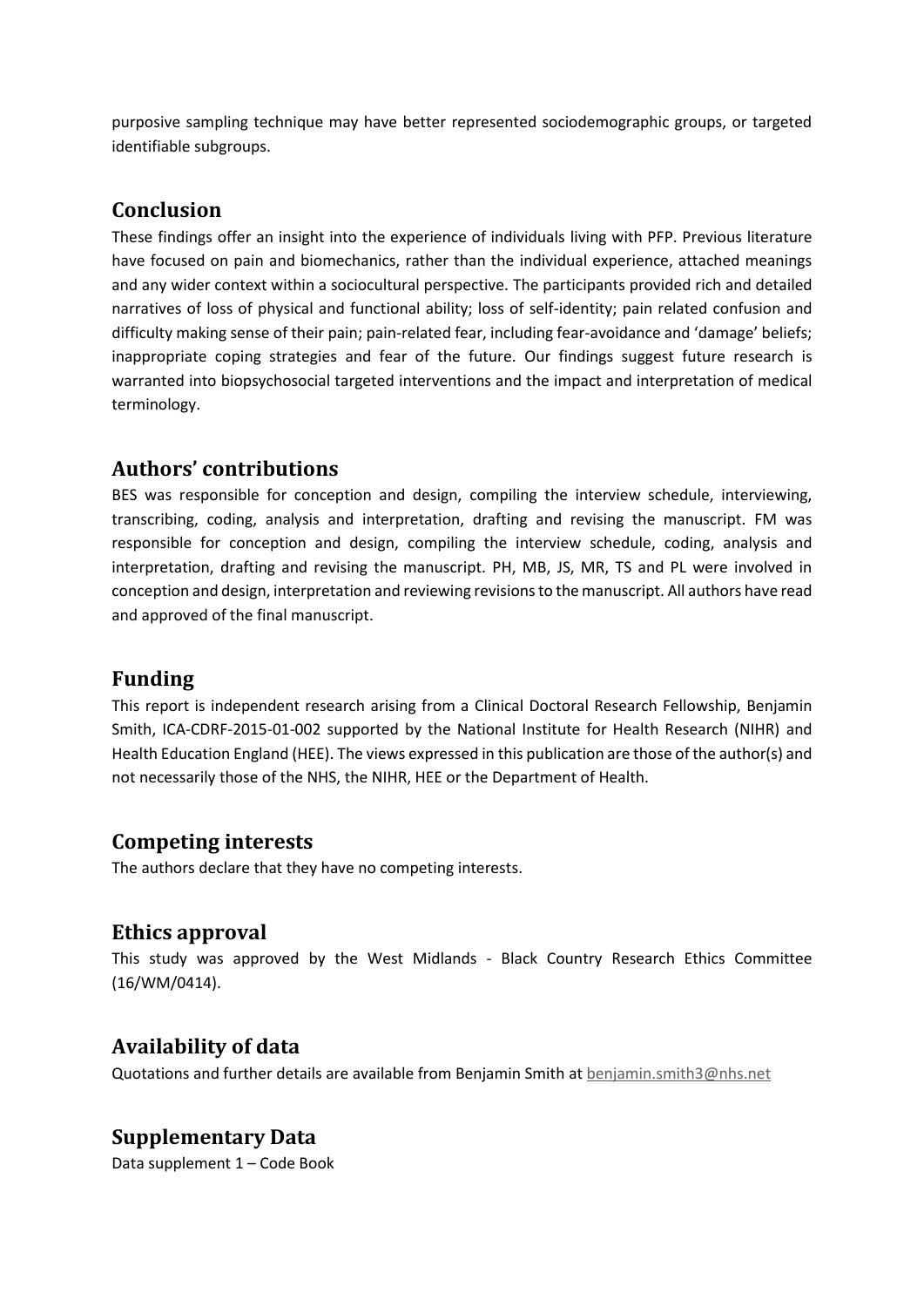purposive sampling technique may have better represented sociodemographic groups, or targeted identifiable subgroups.

# **Conclusion**

These findings offer an insight into the experience of individuals living with PFP. Previous literature have focused on pain and biomechanics, rather than the individual experience, attached meanings and any wider context within a sociocultural perspective. The participants provided rich and detailed narratives of loss of physical and functional ability; loss of self-identity; pain related confusion and difficulty making sense of their pain; pain-related fear, including fear-avoidance and 'damage' beliefs; inappropriate coping strategies and fear of the future. Our findings suggest future research is warranted into biopsychosocial targeted interventions and the impact and interpretation of medical terminology.

## **Authors' contributions**

BES was responsible for conception and design, compiling the interview schedule, interviewing, transcribing, coding, analysis and interpretation, drafting and revising the manuscript. FM was responsible for conception and design, compiling the interview schedule, coding, analysis and interpretation, drafting and revising the manuscript. PH, MB, JS, MR, TS and PL were involved in conception and design, interpretation and reviewing revisions to the manuscript. All authors have read and approved of the final manuscript.

# **Funding**

This report is independent research arising from a Clinical Doctoral Research Fellowship, Benjamin Smith, ICA-CDRF-2015-01-002 supported by the National Institute for Health Research (NIHR) and Health Education England (HEE). The views expressed in this publication are those of the author(s) and not necessarily those of the NHS, the NIHR, HEE or the Department of Health.

### **Competing interests**

The authors declare that they have no competing interests.

### **Ethics approval**

This study was approved by the West Midlands - Black Country Research Ethics Committee (16/WM/0414).

# **Availability of data**

Quotations and further details are available from Benjamin Smith at [benjamin.smith3@nhs.net](mailto:benjamin.smith3@nhs.net)

# **Supplementary Data**

Data supplement 1 – Code Book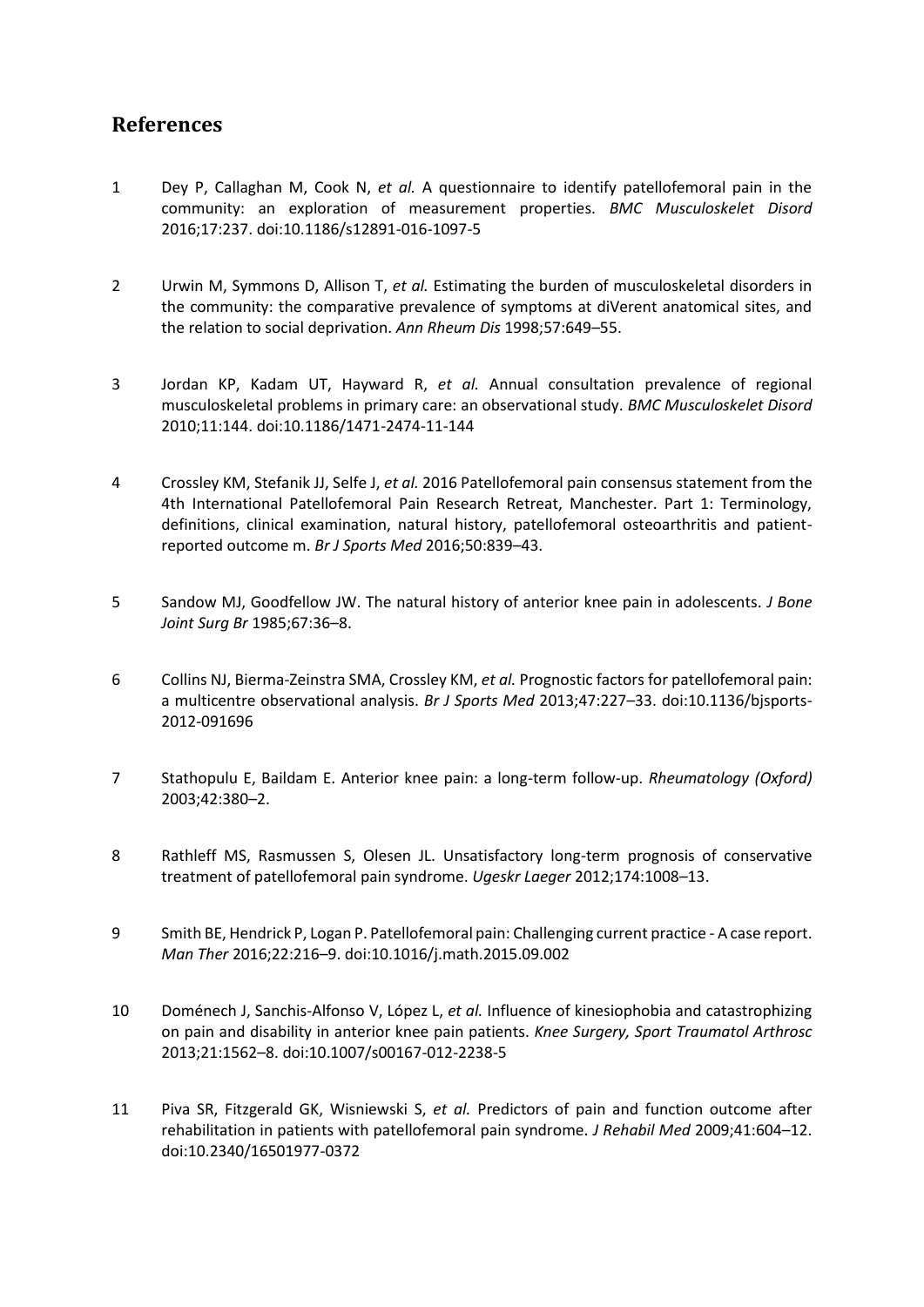# **References**

- 1 Dey P, Callaghan M, Cook N, *et al.* A questionnaire to identify patellofemoral pain in the community: an exploration of measurement properties. *BMC Musculoskelet Disord* 2016;17:237. doi:10.1186/s12891-016-1097-5
- 2 Urwin M, Symmons D, Allison T, *et al.* Estimating the burden of musculoskeletal disorders in the community: the comparative prevalence of symptoms at diVerent anatomical sites, and the relation to social deprivation. *Ann Rheum Dis* 1998;57:649–55.
- 3 Jordan KP, Kadam UT, Hayward R, *et al.* Annual consultation prevalence of regional musculoskeletal problems in primary care: an observational study. *BMC Musculoskelet Disord* 2010;11:144. doi:10.1186/1471-2474-11-144
- 4 Crossley KM, Stefanik JJ, Selfe J, *et al.* 2016 Patellofemoral pain consensus statement from the 4th International Patellofemoral Pain Research Retreat, Manchester. Part 1: Terminology, definitions, clinical examination, natural history, patellofemoral osteoarthritis and patientreported outcome m. *Br J Sports Med* 2016;50:839–43.
- 5 Sandow MJ, Goodfellow JW. The natural history of anterior knee pain in adolescents. *J Bone Joint Surg Br* 1985;67:36–8.
- 6 Collins NJ, Bierma-Zeinstra SMA, Crossley KM, *et al.* Prognostic factors for patellofemoral pain: a multicentre observational analysis. *Br J Sports Med* 2013;47:227–33. doi:10.1136/bjsports-2012-091696
- 7 Stathopulu E, Baildam E. Anterior knee pain: a long-term follow-up. *Rheumatology (Oxford)* 2003;42:380–2.
- 8 Rathleff MS, Rasmussen S, Olesen JL. Unsatisfactory long-term prognosis of conservative treatment of patellofemoral pain syndrome. *Ugeskr Laeger* 2012;174:1008–13.
- 9 Smith BE, Hendrick P, Logan P. Patellofemoral pain: Challenging current practice A case report. *Man Ther* 2016;22:216–9. doi:10.1016/j.math.2015.09.002
- 10 Doménech J, Sanchis-Alfonso V, López L, *et al.* Influence of kinesiophobia and catastrophizing on pain and disability in anterior knee pain patients. *Knee Surgery, Sport Traumatol Arthrosc* 2013;21:1562–8. doi:10.1007/s00167-012-2238-5
- 11 Piva SR, Fitzgerald GK, Wisniewski S, *et al.* Predictors of pain and function outcome after rehabilitation in patients with patellofemoral pain syndrome. *J Rehabil Med* 2009;41:604–12. doi:10.2340/16501977-0372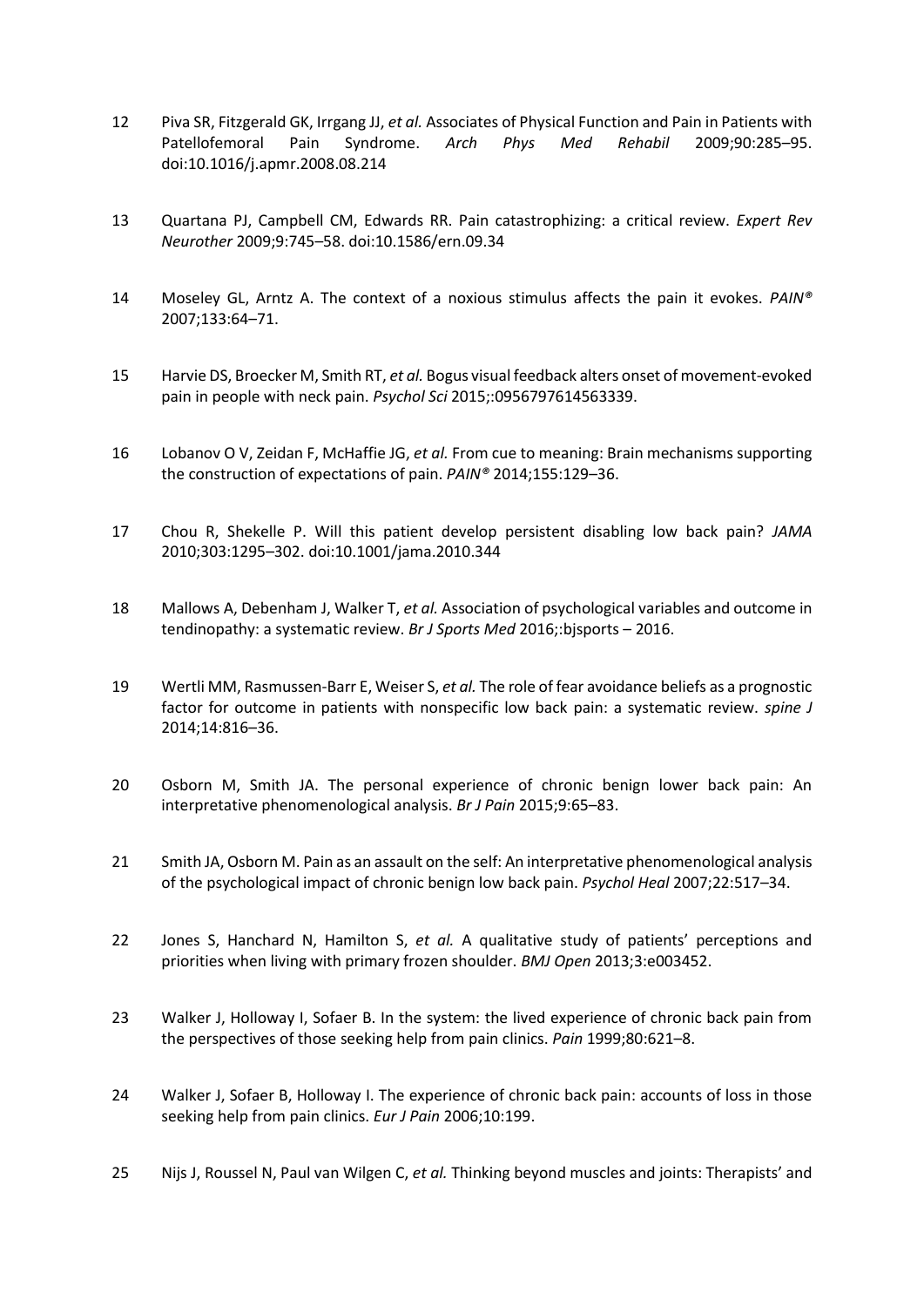- 12 Piva SR, Fitzgerald GK, Irrgang JJ, *et al.* Associates of Physical Function and Pain in Patients with Patellofemoral Pain Syndrome. *Arch Phys Med Rehabil* 2009;90:285–95. doi:10.1016/j.apmr.2008.08.214
- 13 Quartana PJ, Campbell CM, Edwards RR. Pain catastrophizing: a critical review. *Expert Rev Neurother* 2009;9:745–58. doi:10.1586/ern.09.34
- 14 Moseley GL, Arntz A. The context of a noxious stimulus affects the pain it evokes. *PAIN®* 2007;133:64–71.
- 15 Harvie DS, Broecker M, Smith RT, *et al.* Bogus visual feedback alters onset of movement-evoked pain in people with neck pain. *Psychol Sci* 2015;:0956797614563339.
- 16 Lobanov O V, Zeidan F, McHaffie JG, *et al.* From cue to meaning: Brain mechanisms supporting the construction of expectations of pain. *PAIN®* 2014;155:129–36.
- 17 Chou R, Shekelle P. Will this patient develop persistent disabling low back pain? *JAMA* 2010;303:1295–302. doi:10.1001/jama.2010.344
- 18 Mallows A, Debenham J, Walker T, *et al.* Association of psychological variables and outcome in tendinopathy: a systematic review. *Br J Sports Med* 2016;:bjsports – 2016.
- 19 Wertli MM, Rasmussen-Barr E, Weiser S, *et al.* The role of fear avoidance beliefs as a prognostic factor for outcome in patients with nonspecific low back pain: a systematic review. *spine J* 2014;14:816–36.
- 20 Osborn M, Smith JA. The personal experience of chronic benign lower back pain: An interpretative phenomenological analysis. *Br J Pain* 2015;9:65–83.
- 21 Smith JA, Osborn M. Pain as an assault on the self: An interpretative phenomenological analysis of the psychological impact of chronic benign low back pain. *Psychol Heal* 2007;22:517–34.
- 22 Jones S, Hanchard N, Hamilton S, *et al.* A qualitative study of patients' perceptions and priorities when living with primary frozen shoulder. *BMJ Open* 2013;3:e003452.
- 23 Walker J, Holloway I, Sofaer B. In the system: the lived experience of chronic back pain from the perspectives of those seeking help from pain clinics. *Pain* 1999;80:621–8.
- 24 Walker J, Sofaer B, Holloway I. The experience of chronic back pain: accounts of loss in those seeking help from pain clinics. *Eur J Pain* 2006;10:199.
- 25 Nijs J, Roussel N, Paul van Wilgen C, *et al.* Thinking beyond muscles and joints: Therapists' and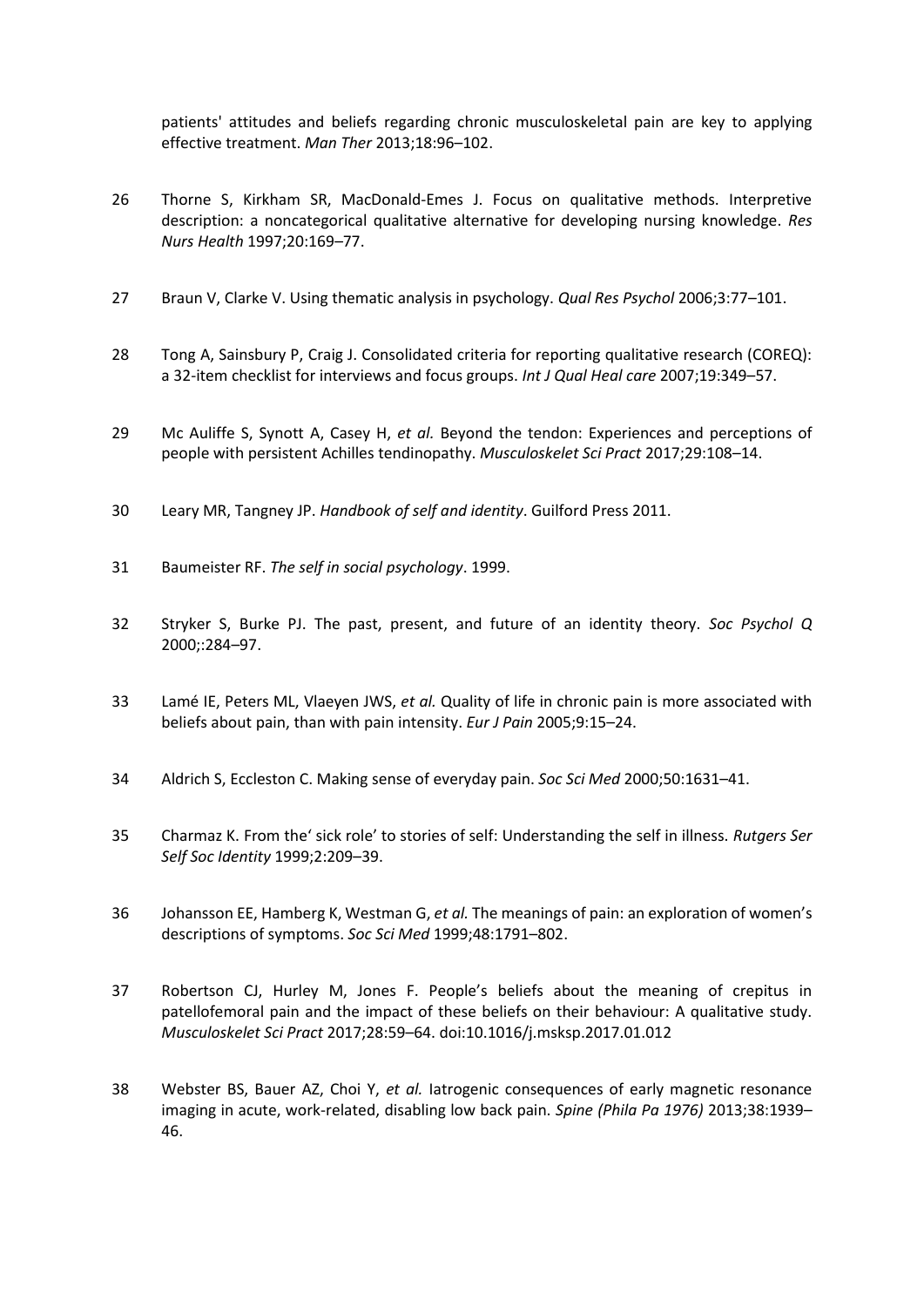patients' attitudes and beliefs regarding chronic musculoskeletal pain are key to applying effective treatment. *Man Ther* 2013;18:96–102.

- 26 Thorne S, Kirkham SR, MacDonald-Emes J. Focus on qualitative methods. Interpretive description: a noncategorical qualitative alternative for developing nursing knowledge. *Res Nurs Health* 1997;20:169–77.
- 27 Braun V, Clarke V. Using thematic analysis in psychology. *Qual Res Psychol* 2006;3:77–101.
- 28 Tong A, Sainsbury P, Craig J. Consolidated criteria for reporting qualitative research (COREQ): a 32-item checklist for interviews and focus groups. *Int J Qual Heal care* 2007;19:349–57.
- 29 Mc Auliffe S, Synott A, Casey H, *et al.* Beyond the tendon: Experiences and perceptions of people with persistent Achilles tendinopathy. *Musculoskelet Sci Pract* 2017;29:108–14.
- 30 Leary MR, Tangney JP. *Handbook of self and identity*. Guilford Press 2011.
- 31 Baumeister RF. *The self in social psychology*. 1999.
- 32 Stryker S, Burke PJ. The past, present, and future of an identity theory. *Soc Psychol Q* 2000;:284–97.
- 33 Lamé IE, Peters ML, Vlaeyen JWS, *et al.* Quality of life in chronic pain is more associated with beliefs about pain, than with pain intensity. *Eur J Pain* 2005;9:15–24.
- 34 Aldrich S, Eccleston C. Making sense of everyday pain. *Soc Sci Med* 2000;50:1631–41.
- 35 Charmaz K. From the' sick role' to stories of self: Understanding the self in illness. *Rutgers Ser Self Soc Identity* 1999;2:209–39.
- 36 Johansson EE, Hamberg K, Westman G, *et al.* The meanings of pain: an exploration of women's descriptions of symptoms. *Soc Sci Med* 1999;48:1791–802.
- 37 Robertson CJ, Hurley M, Jones F. People's beliefs about the meaning of crepitus in patellofemoral pain and the impact of these beliefs on their behaviour: A qualitative study. *Musculoskelet Sci Pract* 2017;28:59–64. doi:10.1016/j.msksp.2017.01.012
- 38 Webster BS, Bauer AZ, Choi Y, *et al.* Iatrogenic consequences of early magnetic resonance imaging in acute, work-related, disabling low back pain. *Spine (Phila Pa 1976)* 2013;38:1939– 46.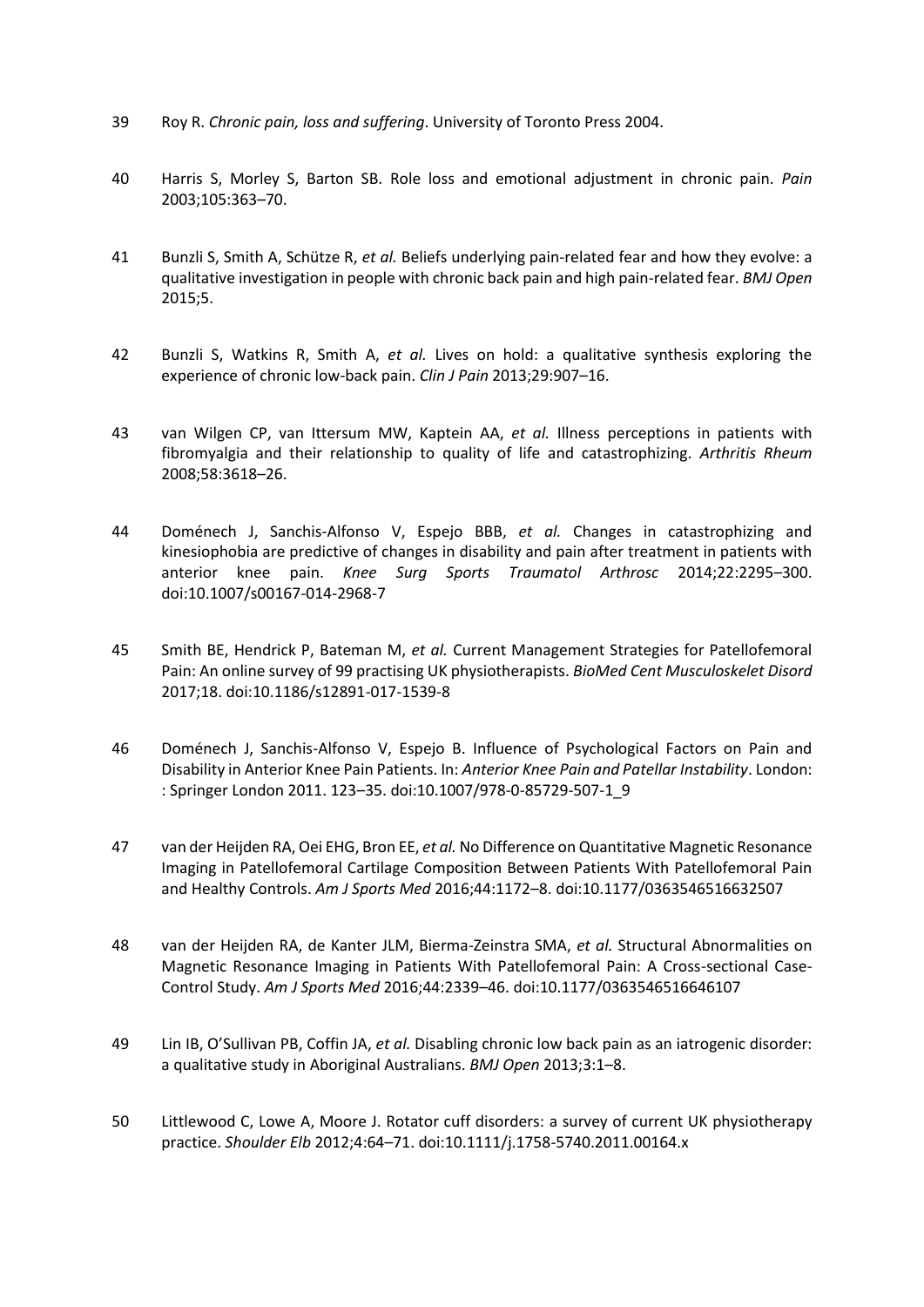- 39 Roy R. *Chronic pain, loss and suffering*. University of Toronto Press 2004.
- 40 Harris S, Morley S, Barton SB. Role loss and emotional adjustment in chronic pain. *Pain* 2003;105:363–70.
- 41 Bunzli S, Smith A, Schütze R, *et al.* Beliefs underlying pain-related fear and how they evolve: a qualitative investigation in people with chronic back pain and high pain-related fear. *BMJ Open* 2015;5.
- 42 Bunzli S, Watkins R, Smith A, *et al.* Lives on hold: a qualitative synthesis exploring the experience of chronic low-back pain. *Clin J Pain* 2013;29:907–16.
- 43 van Wilgen CP, van Ittersum MW, Kaptein AA, *et al.* Illness perceptions in patients with fibromyalgia and their relationship to quality of life and catastrophizing. *Arthritis Rheum* 2008;58:3618–26.
- 44 Doménech J, Sanchis-Alfonso V, Espejo BBB, *et al.* Changes in catastrophizing and kinesiophobia are predictive of changes in disability and pain after treatment in patients with anterior knee pain. *Knee Surg Sports Traumatol Arthrosc* 2014;22:2295–300. doi:10.1007/s00167-014-2968-7
- 45 Smith BE, Hendrick P, Bateman M, *et al.* Current Management Strategies for Patellofemoral Pain: An online survey of 99 practising UK physiotherapists. *BioMed Cent Musculoskelet Disord* 2017;18. doi:10.1186/s12891-017-1539-8
- 46 Doménech J, Sanchis-Alfonso V, Espejo B. Influence of Psychological Factors on Pain and Disability in Anterior Knee Pain Patients. In: *Anterior Knee Pain and Patellar Instability*. London: : Springer London 2011. 123–35. doi:10.1007/978-0-85729-507-1\_9
- 47 van der Heijden RA, Oei EHG, Bron EE, *et al.* No Difference on Quantitative Magnetic Resonance Imaging in Patellofemoral Cartilage Composition Between Patients With Patellofemoral Pain and Healthy Controls. *Am J Sports Med* 2016;44:1172–8. doi:10.1177/0363546516632507
- 48 van der Heijden RA, de Kanter JLM, Bierma-Zeinstra SMA, *et al.* Structural Abnormalities on Magnetic Resonance Imaging in Patients With Patellofemoral Pain: A Cross-sectional Case-Control Study. *Am J Sports Med* 2016;44:2339–46. doi:10.1177/0363546516646107
- 49 Lin IB, O'Sullivan PB, Coffin JA, *et al.* Disabling chronic low back pain as an iatrogenic disorder: a qualitative study in Aboriginal Australians. *BMJ Open* 2013;3:1–8.
- 50 Littlewood C, Lowe A, Moore J. Rotator cuff disorders: a survey of current UK physiotherapy practice. *Shoulder Elb* 2012;4:64–71. doi:10.1111/j.1758-5740.2011.00164.x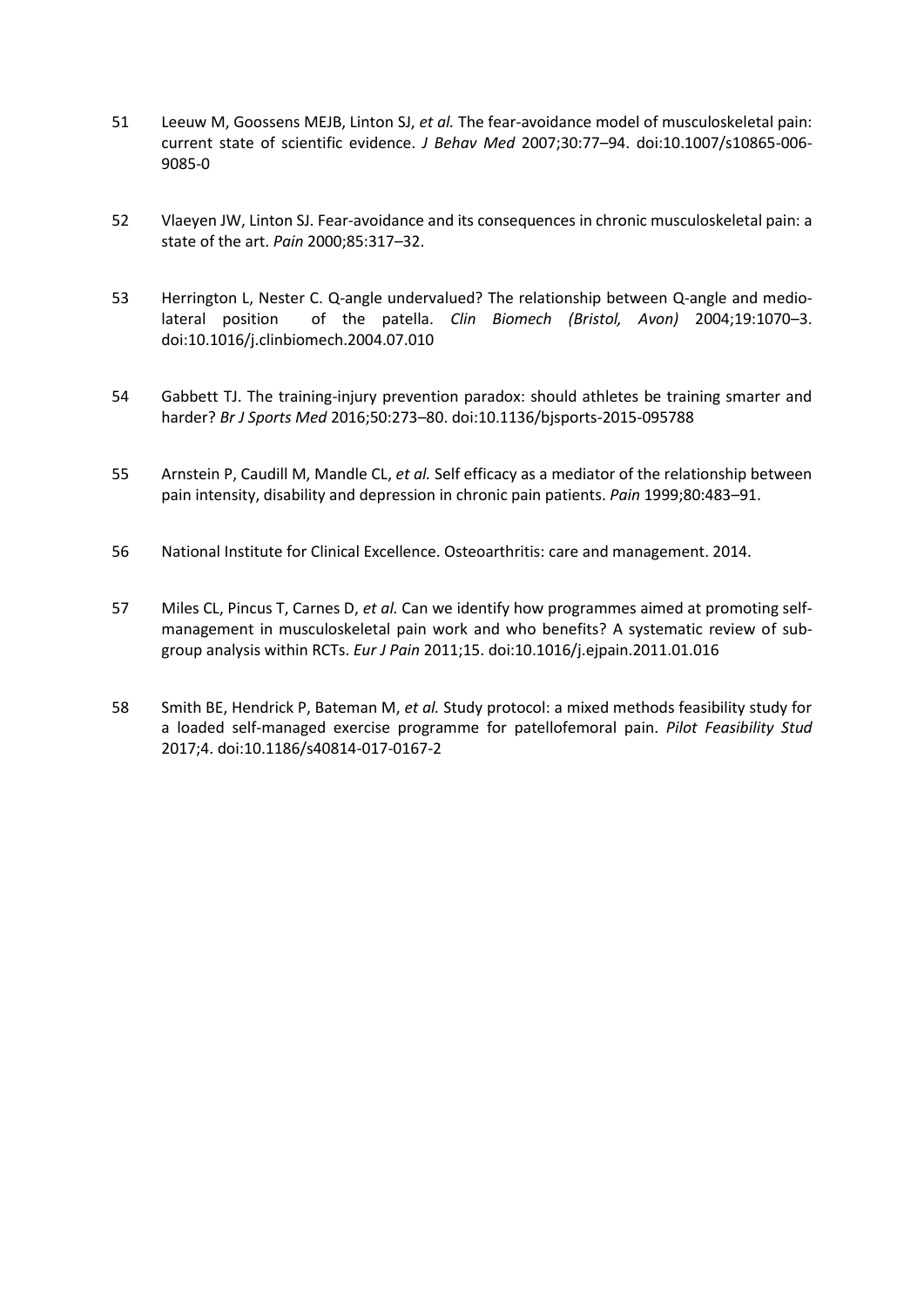- 51 Leeuw M, Goossens MEJB, Linton SJ, *et al.* The fear-avoidance model of musculoskeletal pain: current state of scientific evidence. *J Behav Med* 2007;30:77–94. doi:10.1007/s10865-006- 9085-0
- 52 Vlaeyen JW, Linton SJ. Fear-avoidance and its consequences in chronic musculoskeletal pain: a state of the art. *Pain* 2000;85:317–32.
- 53 Herrington L, Nester C. Q-angle undervalued? The relationship between Q-angle and mediolateral position of the patella. *Clin Biomech (Bristol, Avon)* 2004;19:1070–3. doi:10.1016/j.clinbiomech.2004.07.010
- 54 Gabbett TJ. The training-injury prevention paradox: should athletes be training smarter and harder? *Br J Sports Med* 2016;50:273–80. doi:10.1136/bjsports-2015-095788
- 55 Arnstein P, Caudill M, Mandle CL, *et al.* Self efficacy as a mediator of the relationship between pain intensity, disability and depression in chronic pain patients. *Pain* 1999;80:483–91.
- 56 National Institute for Clinical Excellence. Osteoarthritis: care and management. 2014.
- 57 Miles CL, Pincus T, Carnes D, *et al.* Can we identify how programmes aimed at promoting selfmanagement in musculoskeletal pain work and who benefits? A systematic review of subgroup analysis within RCTs. *Eur J Pain* 2011;15. doi:10.1016/j.ejpain.2011.01.016
- 58 Smith BE, Hendrick P, Bateman M, *et al.* Study protocol: a mixed methods feasibility study for a loaded self-managed exercise programme for patellofemoral pain. *Pilot Feasibility Stud* 2017;4. doi:10.1186/s40814-017-0167-2